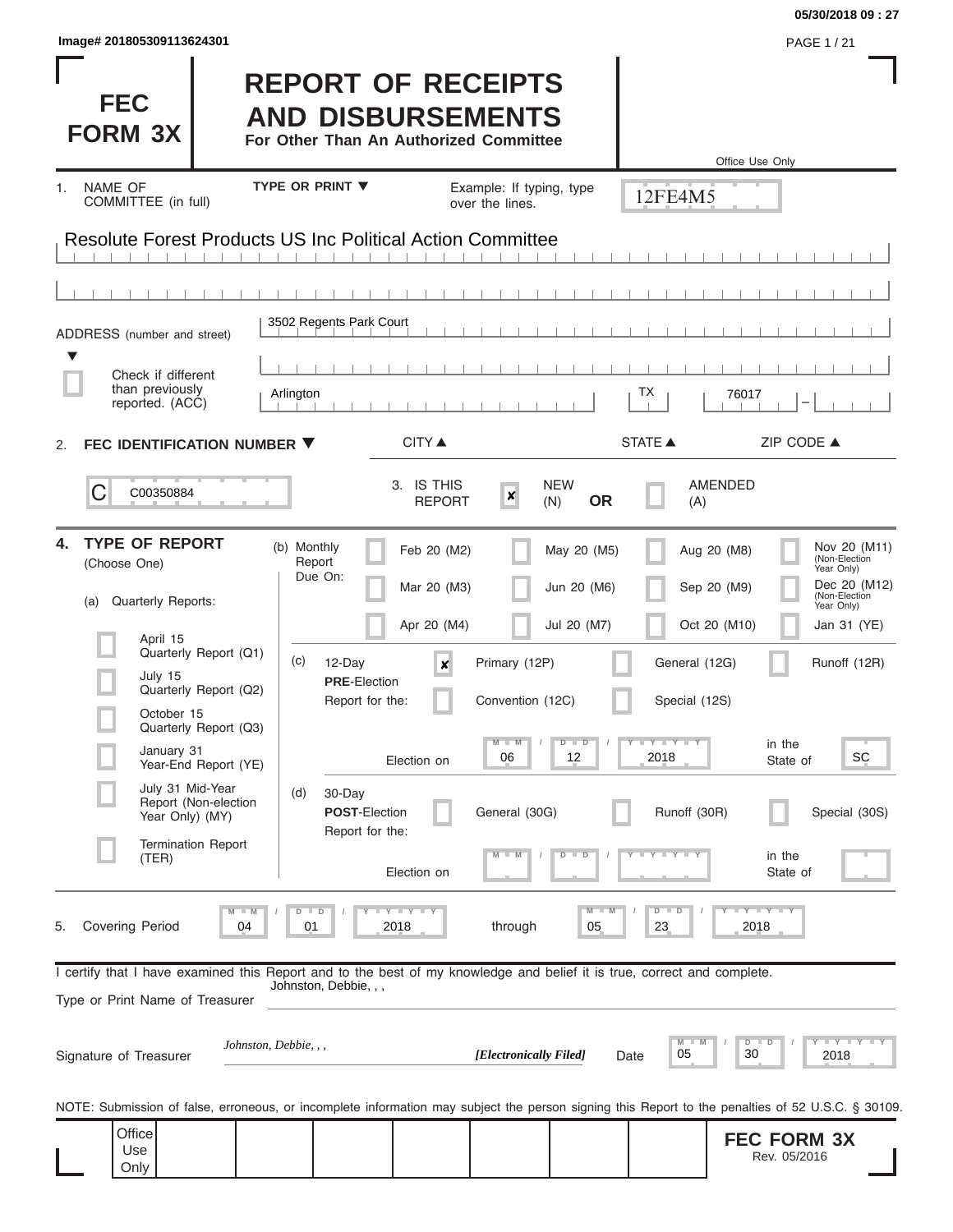| Image# 201805309113624301                                                                                                                                  |                                                                                                 |                                        |                                           |                                            | PAGE 1 / 21                                                                                               |
|------------------------------------------------------------------------------------------------------------------------------------------------------------|-------------------------------------------------------------------------------------------------|----------------------------------------|-------------------------------------------|--------------------------------------------|-----------------------------------------------------------------------------------------------------------|
| <b>FEC</b><br><b>FORM 3X</b>                                                                                                                               | <b>REPORT OF RECEIPTS</b><br><b>AND DISBURSEMENTS</b><br>For Other Than An Authorized Committee |                                        |                                           | Office Use Only                            |                                                                                                           |
| NAME OF<br>1.                                                                                                                                              | <b>TYPE OR PRINT ▼</b>                                                                          | Example: If typing, type               |                                           | 12FE4M5                                    |                                                                                                           |
| COMMITTEE (in full)<br><b>Resolute Forest Products US Inc Political Action Committee</b>                                                                   |                                                                                                 | over the lines.                        |                                           |                                            |                                                                                                           |
|                                                                                                                                                            |                                                                                                 |                                        |                                           |                                            |                                                                                                           |
|                                                                                                                                                            |                                                                                                 |                                        |                                           |                                            |                                                                                                           |
| ADDRESS (number and street)                                                                                                                                | 3502 Regents Park Court                                                                         |                                        |                                           |                                            |                                                                                                           |
| ▼<br>Check if different<br>than previously                                                                                                                 |                                                                                                 |                                        |                                           |                                            |                                                                                                           |
| reported. (ACC)                                                                                                                                            | Arlington                                                                                       |                                        |                                           | ТX<br>76017                                |                                                                                                           |
| FEC IDENTIFICATION NUMBER ▼<br>2.                                                                                                                          | <b>CITY ▲</b>                                                                                   |                                        |                                           | <b>STATE ▲</b>                             | ZIP CODE ▲                                                                                                |
| С<br>C00350884                                                                                                                                             | 3. IS THIS                                                                                      | $\boldsymbol{x}$<br><b>REPORT</b>      | <b>NEW</b><br><b>OR</b><br>(N)            | <b>AMENDED</b><br>(A)                      |                                                                                                           |
| <b>TYPE OF REPORT</b><br>4.<br>(Choose One)<br>Quarterly Reports:<br>(a)                                                                                   | (b) Monthly<br>Feb 20 (M2)<br>Report<br>Due On:<br>Mar 20 (M3)<br>Apr 20 (M4)                   |                                        | May 20 (M5)<br>Jun 20 (M6)<br>Jul 20 (M7) | Aug 20 (M8)<br>Sep 20 (M9)<br>Oct 20 (M10) | Nov 20 (M11)<br>(Non-Election<br>Year Only)<br>Dec 20 (M12)<br>(Non-Election<br>Year Only)<br>Jan 31 (YE) |
| April 15<br>Quarterly Report (Q1)<br>July 15<br>Quarterly Report (Q2)<br>October 15                                                                        | (c)<br>12-Day<br><b>PRE-Election</b><br>Report for the:                                         | Primary (12P)<br>×<br>Convention (12C) |                                           | General (12G)<br>Special (12S)             | Runoff (12R)                                                                                              |
| Quarterly Report (Q3)<br>January 31<br>Year-End Report (YE)<br>July 31 Mid-Year                                                                            | Election on                                                                                     | $M - M$<br>06                          | $D$ $D$<br>12                             | Y FY FY FY<br>2018                         | in the<br><b>SC</b><br>State of                                                                           |
| Report (Non-election<br>Year Only) (MY)                                                                                                                    | (d)<br>30-Day<br><b>POST-Election</b><br>Report for the:                                        | General (30G)                          |                                           | Runoff (30R)                               | Special (30S)                                                                                             |
| <b>Termination Report</b><br>(TER)                                                                                                                         | Election on                                                                                     |                                        | D<br>ு                                    |                                            | in the<br>State of                                                                                        |
| $M$ $M$<br><b>Covering Period</b><br>5.<br>04                                                                                                              | $D$ $D$<br><b>LYLYLY</b><br>01<br>2018                                                          | through                                | $M - M$<br>05                             | $D$ $D$<br>23<br>2018                      | $T - Y$ $T - Y$ $T - Y$                                                                                   |
| I certify that I have examined this Report and to the best of my knowledge and belief it is true, correct and complete.<br>Type or Print Name of Treasurer | Johnston, Debbie, , ,                                                                           |                                        |                                           |                                            |                                                                                                           |
| Johnston, Debbie, , ,<br>Signature of Treasurer                                                                                                            |                                                                                                 | [Electronically Filed]                 | Date                                      | $M$ $M$<br>05<br>30                        | Y I Y I Y I Y<br>$D$ $D$<br>2018                                                                          |
| NOTE: Submission of false, erroneous, or incomplete information may subject the person signing this Report to the penalties of 52 U.S.C. § 30109.          |                                                                                                 |                                        |                                           |                                            |                                                                                                           |
| Office<br>Use<br>Only                                                                                                                                      |                                                                                                 |                                        |                                           |                                            | <b>FEC FORM 3X</b><br>Rev. 05/2016                                                                        |

**05/30/2018 09 : 27**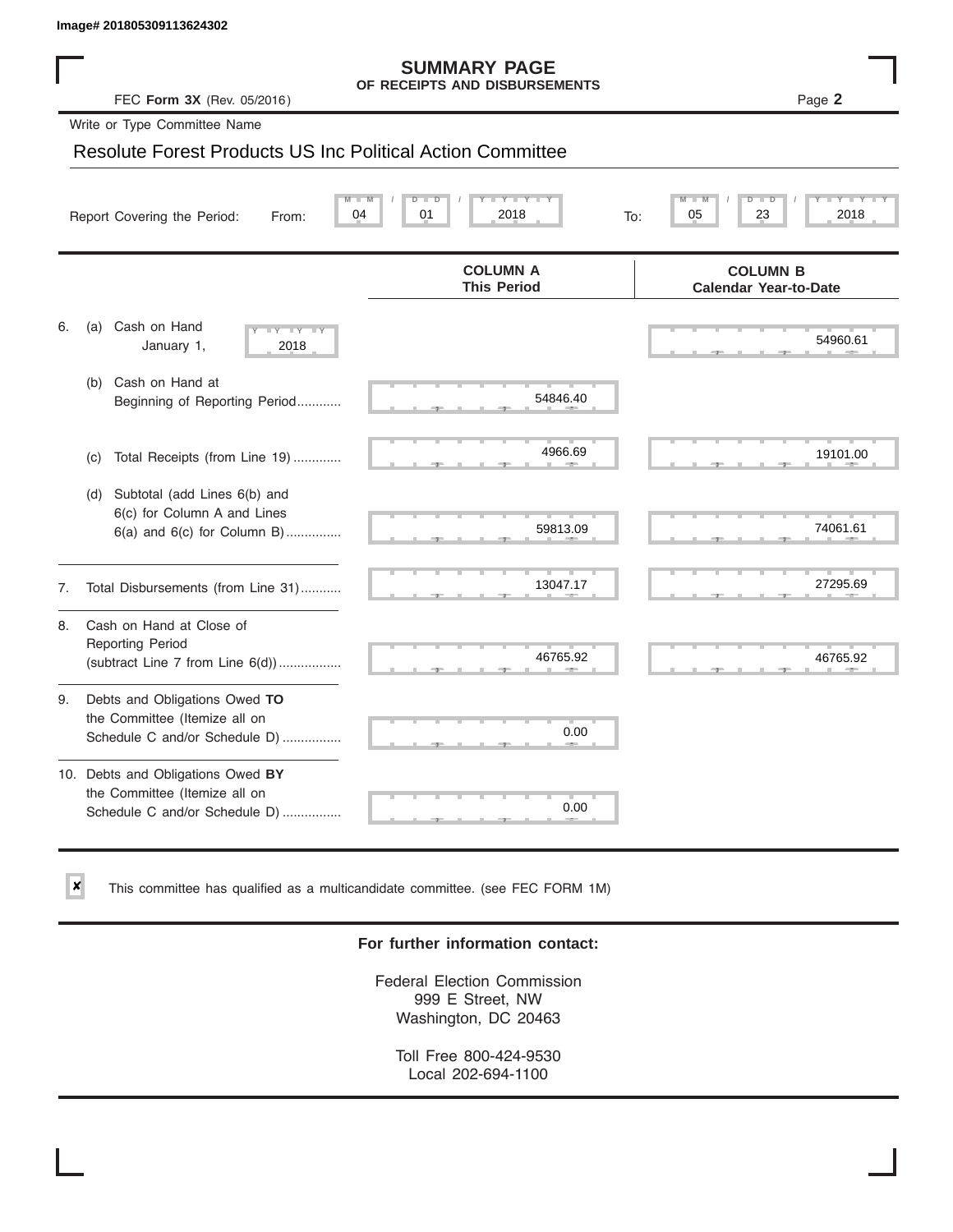✘

#### **SUMMARY PAGE OF RECEIPTS AND DISBURSEMENTS**

#### Resolute Forest Products US Inc Political Action Committee

|    | Image# 201805309113624302                                                                             |                                                      |                                                 |
|----|-------------------------------------------------------------------------------------------------------|------------------------------------------------------|-------------------------------------------------|
|    | FEC Form 3X (Rev. 05/2016)                                                                            | <b>SUMMARY PAGE</b><br>OF RECEIPTS AND DISBURSEMENTS | Page 2                                          |
|    | Write or Type Committee Name                                                                          |                                                      |                                                 |
|    | <b>Resolute Forest Products US Inc Political Action Committee</b>                                     |                                                      |                                                 |
|    | Report Covering the Period:<br>From:                                                                  | 01<br>2018<br>04<br>To:                              | D<br>23<br>2018<br>05                           |
|    |                                                                                                       | <b>COLUMN A</b><br><b>This Period</b>                | <b>COLUMN B</b><br><b>Calendar Year-to-Date</b> |
| 6. | Cash on Hand<br>(a)<br>$-Y - Y - IY$<br>January 1,<br>2018                                            |                                                      | 54960.61                                        |
|    | Cash on Hand at<br>(b)<br>Beginning of Reporting Period                                               | 54846.40                                             |                                                 |
|    | Total Receipts (from Line 19)<br>(c)                                                                  | 4966.69                                              | 19101.00                                        |
|    | Subtotal (add Lines 6(b) and<br>(d)<br>6(c) for Column A and Lines<br>$6(a)$ and $6(c)$ for Column B) | 59813.09                                             | 74061.61                                        |
| 7. | Total Disbursements (from Line 31)                                                                    | 13047.17                                             | 27295.69                                        |
| 8. | Cash on Hand at Close of<br><b>Reporting Period</b><br>(subtract Line $7$ from Line $6(d)$ )          | 46765.92                                             | 46765.92                                        |
| 9. | Debts and Obligations Owed TO<br>the Committee (Itemize all on<br>Schedule C and/or Schedule D)       | 0.00                                                 |                                                 |
|    | 10. Debts and Obligations Owed BY<br>the Committee (Itemize all on<br>Schedule C and/or Schedule D)   | т<br>0.00                                            |                                                 |

This committee has qualified as a multicandidate committee. (see FEC FORM 1M)

#### **For further information contact:**

Federal Election Commission 999 E Street, NW Washington, DC 20463

Toll Free 800-424-9530 Local 202-694-1100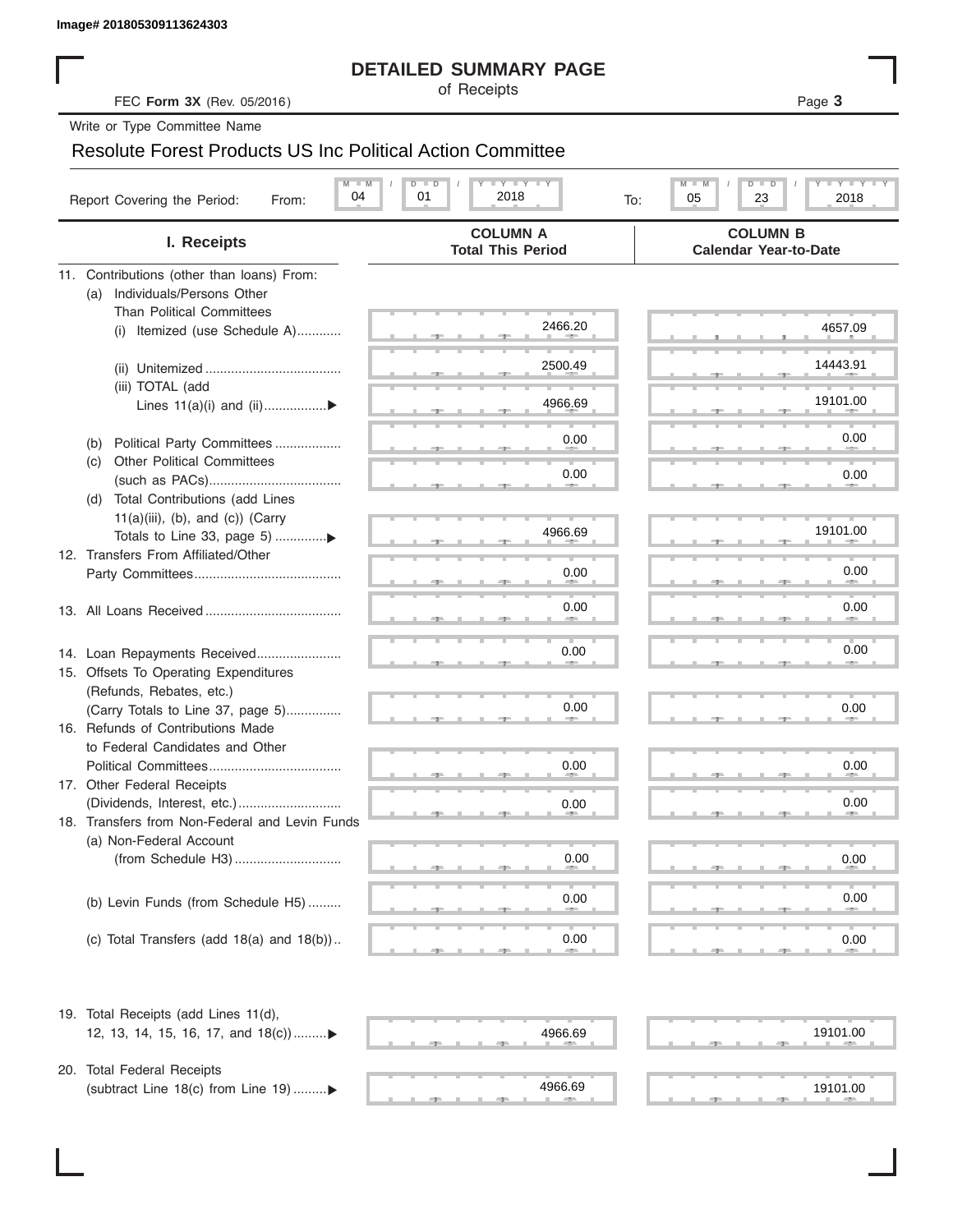#### **DETAILED SUMMARY PAGE**

#### Resolute Forest Products US Inc Political Action Committee

|                                                                           | <b>DETAILED SUMMARY PAGE</b>                            |                                                                 |
|---------------------------------------------------------------------------|---------------------------------------------------------|-----------------------------------------------------------------|
| FEC Form 3X (Rev. 05/2016)                                                | of Receipts                                             | Page 3                                                          |
| Write or Type Committee Name                                              |                                                         |                                                                 |
| <b>Resolute Forest Products US Inc Political Action Committee</b>         |                                                         |                                                                 |
| $M - M$<br>04<br>Report Covering the Period:<br>From:                     | $I - Y - I - Y - I - Y$<br>$D$ $D$<br>01<br>2018<br>To: | $T - Y = T - Y - T$<br>M<br>$D$ $\Box$<br>ъ<br>05<br>23<br>2018 |
| I. Receipts                                                               | <b>COLUMN A</b><br><b>Total This Period</b>             | <b>COLUMN B</b><br><b>Calendar Year-to-Date</b>                 |
| 11. Contributions (other than loans) From:                                |                                                         |                                                                 |
| Individuals/Persons Other<br>(a)                                          |                                                         |                                                                 |
| <b>Than Political Committees</b><br>(i) Itemized (use Schedule A)         | 2466.20                                                 | 4657.09                                                         |
|                                                                           |                                                         |                                                                 |
|                                                                           | 2500.49                                                 | 14443.91                                                        |
| (iii) TOTAL (add                                                          |                                                         | 19101.00                                                        |
| Lines $11(a)(i)$ and $(ii)$                                               | 4966.69                                                 |                                                                 |
| Political Party Committees<br>(b)                                         | 0.00                                                    | 0.00                                                            |
| <b>Other Political Committees</b><br>(C)                                  |                                                         |                                                                 |
|                                                                           | 0.00                                                    | 0.00                                                            |
| Total Contributions (add Lines<br>(d)                                     |                                                         |                                                                 |
| $11(a)(iii)$ , (b), and (c)) (Carry<br>Totals to Line 33, page 5) ▶       | 4966.69                                                 | 19101.00                                                        |
| 12. Transfers From Affiliated/Other                                       |                                                         |                                                                 |
|                                                                           | 0.00                                                    | 0.00                                                            |
|                                                                           |                                                         |                                                                 |
|                                                                           | 0.00                                                    | 0.00                                                            |
|                                                                           | 0.00                                                    | 0.00                                                            |
| 14. Loan Repayments Received<br>15. Offsets To Operating Expenditures     |                                                         |                                                                 |
| (Refunds, Rebates, etc.)                                                  |                                                         |                                                                 |
| (Carry Totals to Line 37, page 5)                                         | 0.00                                                    | 0.00                                                            |
| 16. Refunds of Contributions Made                                         |                                                         |                                                                 |
| to Federal Candidates and Other                                           |                                                         |                                                                 |
| Political Committees<br>17. Other Federal Receipts                        | 0.00                                                    | 0.00                                                            |
|                                                                           | 0.00                                                    | 0.00                                                            |
| 18. Transfers from Non-Federal and Levin Funds                            |                                                         |                                                                 |
| (a) Non-Federal Account                                                   |                                                         |                                                                 |
|                                                                           | 0.00                                                    | 0.00                                                            |
|                                                                           |                                                         | 0.00                                                            |
| (b) Levin Funds (from Schedule H5)                                        | 0.00                                                    |                                                                 |
| (c) Total Transfers (add $18(a)$ and $18(b)$ )                            | 0.00                                                    | 0.00                                                            |
|                                                                           |                                                         |                                                                 |
| 19. Total Receipts (add Lines 11(d),<br>12, 13, 14, 15, 16, 17, and 18(c) | 4966.69                                                 | 19101.00                                                        |
|                                                                           |                                                         |                                                                 |
| 20. Total Federal Receipts                                                |                                                         |                                                                 |
| (subtract Line 18(c) from Line 19) ▶                                      | 4966.69                                                 | 19101.00                                                        |

 ▲ ▲ ▲ , , . ▲ ▲ ▲ , , .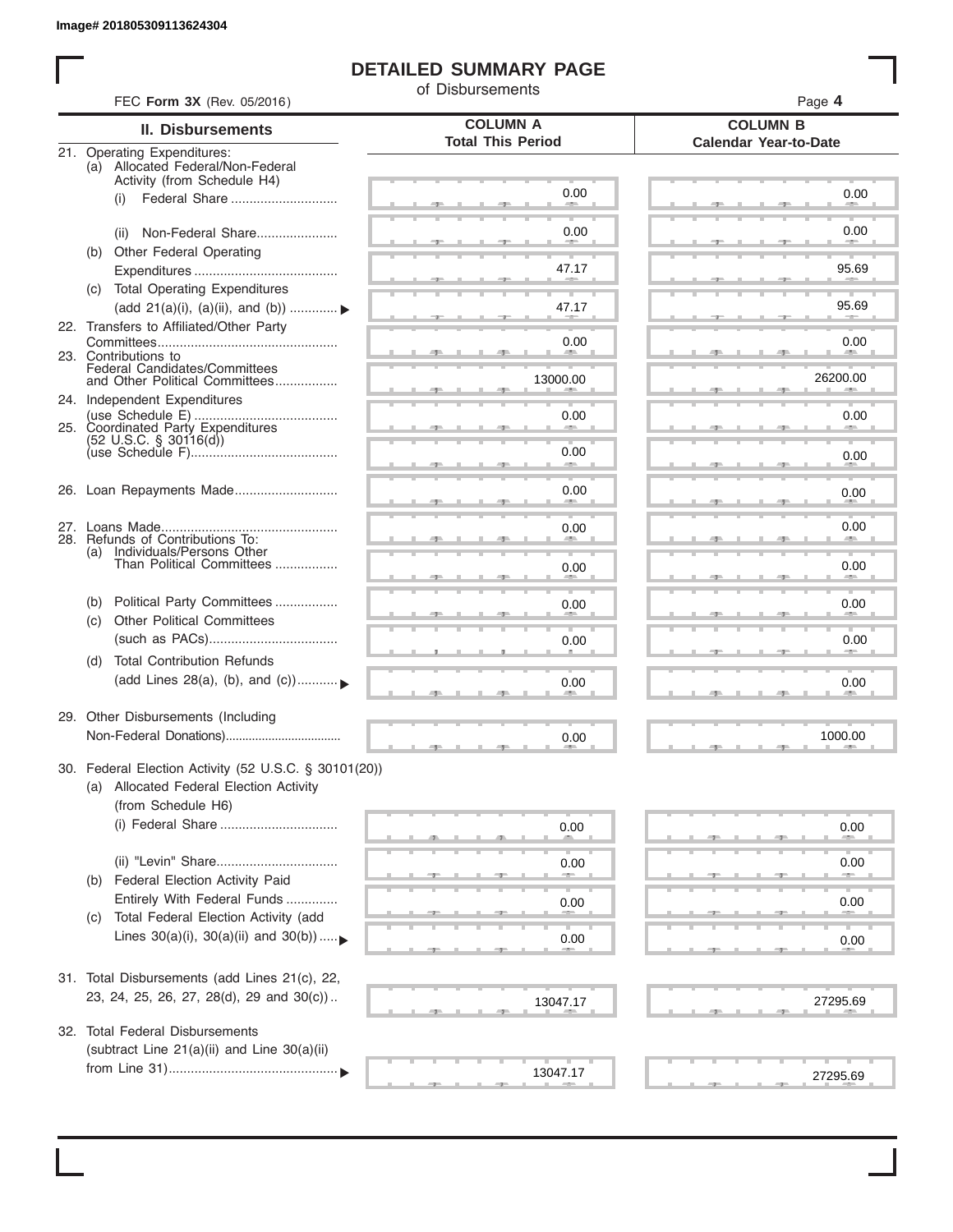I

#### **DETAILED SUMMARY PAGE**

of Disbursements

| FEC Form 3X (Rev. 05/2016)                                                                      | <b>COLUMN A</b>          | Page 4                                          |
|-------------------------------------------------------------------------------------------------|--------------------------|-------------------------------------------------|
| II. Disbursements                                                                               | <b>Total This Period</b> | <b>COLUMN B</b><br><b>Calendar Year-to-Date</b> |
| 21. Operating Expenditures:<br>(a) Allocated Federal/Non-Federal<br>Activity (from Schedule H4) |                          |                                                 |
| (i)                                                                                             | 0.00                     | 0.00                                            |
| Non-Federal Share<br>(ii)                                                                       | 0.00                     | 0.00                                            |
| (b) Other Federal Operating                                                                     | 47.17                    | 95.69                                           |
| <b>Total Operating Expenditures</b><br>(c)<br>(add 21(a)(i), (a)(ii), and (b))                  | 47.17                    | 95.69                                           |
| 22. Transfers to Affiliated/Other Party                                                         |                          |                                                 |
| 23. Contributions to                                                                            | 0.00<br>-                | 0.00<br><b>Allen</b>                            |
| Federal Candidates/Committees<br>and Other Political Committees<br>24. Independent Expenditures | 13000.00                 | 26200.00                                        |
| 25. Coordinated Party Expenditures                                                              | 0.00                     | 0.00                                            |
| $(52 \text{ U.S.C. }$ § 30116(d))                                                               | 0.00<br>an a             | 0.00                                            |
| 26. Loan Repayments Made                                                                        | 0.00                     | 0.00                                            |
|                                                                                                 | 0.00                     | 0.00                                            |
| 28. Refunds of Contributions To:<br>(a) Individuals/Persons Other                               |                          |                                                 |
| Than Political Committees                                                                       | 0.00                     | 0.00                                            |
| Political Party Committees<br>(b)<br><b>Other Political Committees</b><br>(c)                   | 0.00                     | 0.00                                            |
|                                                                                                 | 0.00                     | 0.00                                            |
| <b>Total Contribution Refunds</b><br>(d)<br>(add Lines 28(a), (b), and (c))                     | 0.00                     | 0.00                                            |
| 29. Other Disbursements (Including                                                              | 0.00                     | 1000.00                                         |
| 30. Federal Election Activity (52 U.S.C. § 30101(20))                                           |                          |                                                 |
| (a) Allocated Federal Election Activity<br>(from Schedule H6)                                   |                          |                                                 |
|                                                                                                 | 0.00                     | 0.00                                            |
|                                                                                                 | 0.00                     | 0.00                                            |
| Federal Election Activity Paid<br>(b)<br>Entirely With Federal Funds                            | 0.00                     | 0.00                                            |
| Total Federal Election Activity (add<br>(C)<br>Lines $30(a)(i)$ , $30(a)(ii)$ and $30(b))$      |                          |                                                 |
|                                                                                                 | 0.00                     | 0.00                                            |
| 31. Total Disbursements (add Lines 21(c), 22,<br>23, 24, 25, 26, 27, 28(d), 29 and 30(c))       |                          |                                                 |
|                                                                                                 | 13047.17                 | 27295.69                                        |
| 32. Total Federal Disbursements<br>(subtract Line 21(a)(ii) and Line 30(a)(ii)                  |                          |                                                 |
|                                                                                                 | 13047.17                 | 27295.69                                        |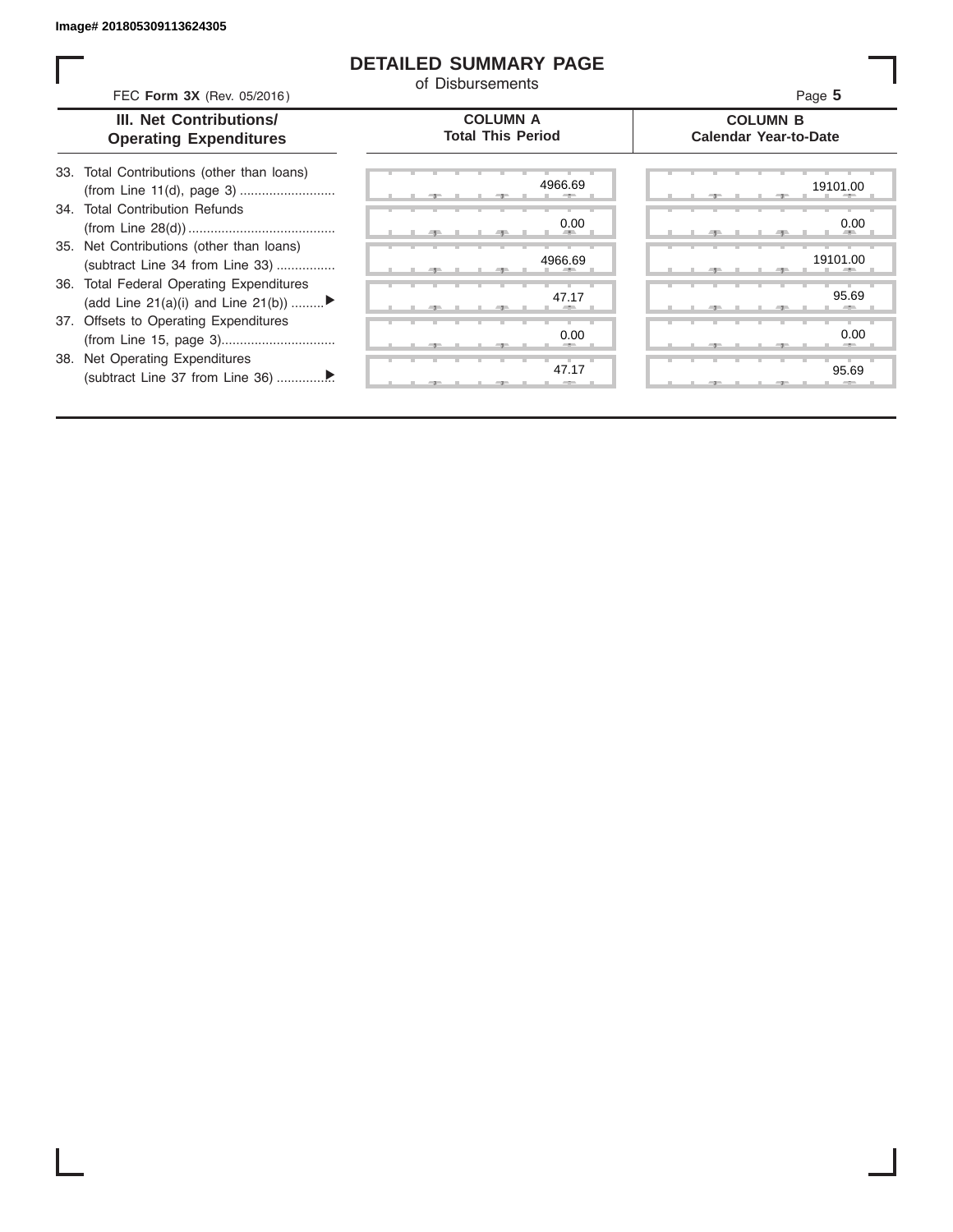I

#### **DETAILED SUMMARY PAGE**

of Disbursements

| III. Net Contributions/<br><b>Operating Expenditures</b>                       | <b>COLUMN A</b><br><b>Total This Period</b> | <b>COLUMN B</b><br><b>Calendar Year-to-Date</b> |
|--------------------------------------------------------------------------------|---------------------------------------------|-------------------------------------------------|
| Total Contributions (other than loans)<br>33.                                  | 4966.69                                     | 19101.00                                        |
| 34. Total Contribution Refunds                                                 | 0.00                                        | 0.00                                            |
| 35. Net Contributions (other than loans)<br>(subtract Line 34 from Line 33)    | 4966.69                                     | 19101.00                                        |
| 36. Total Federal Operating Expenditures<br>(add Line 21(a)(i) and Line 21(b)) | 47.17                                       | 95.69                                           |
| 37. Offsets to Operating Expenditures                                          | 0.00                                        | 0.00                                            |
| 38. Net Operating Expenditures                                                 | 47.17                                       | 95.69                                           |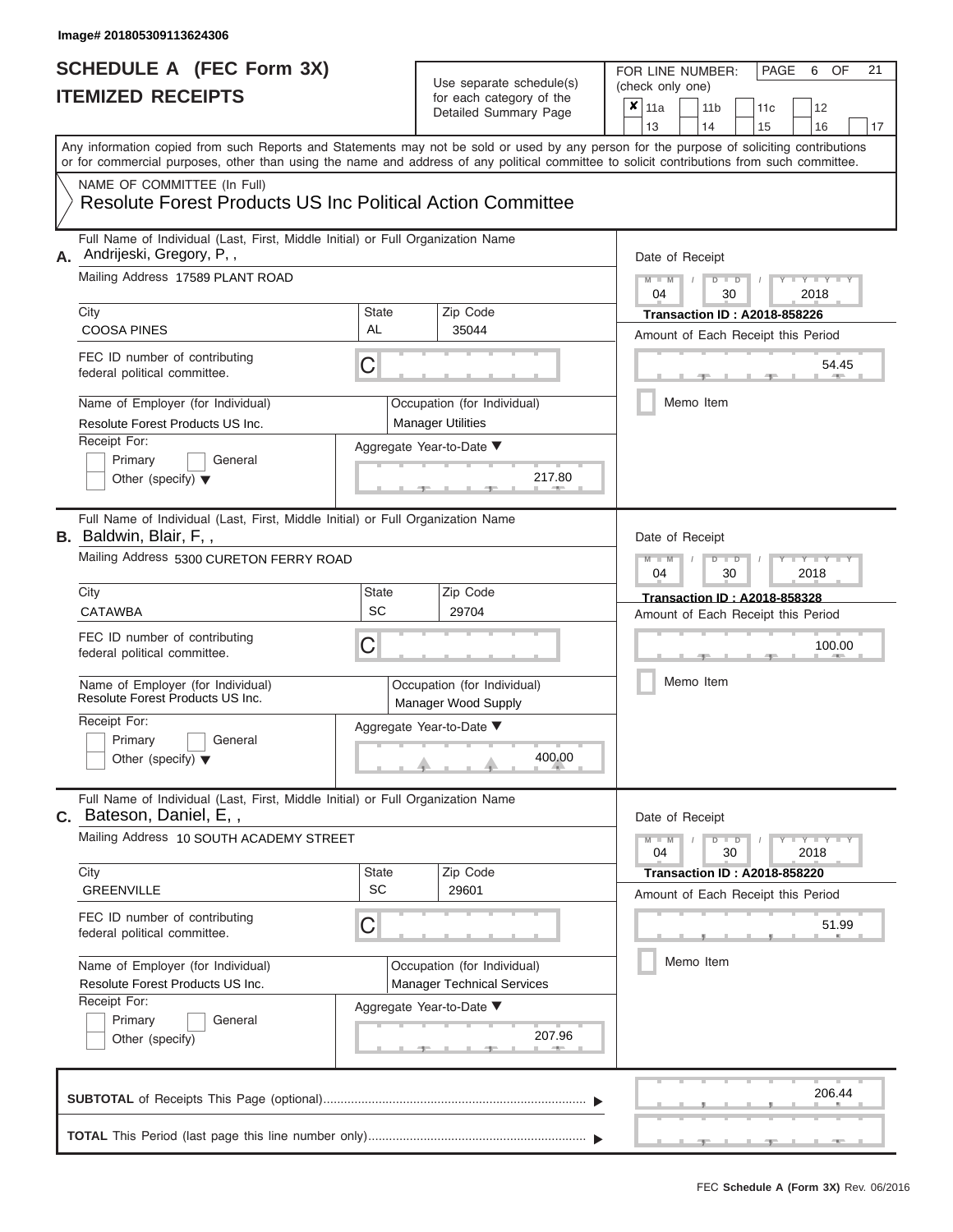### Use separate schedule(s)

| SCHEDULE A (FEC Form 3X)<br><b>ITEMIZED RECEIPTS</b>                                                                                                                                                                                                                                                                                                                                                          |                                | Use separate schedule(s)<br>for each category of the<br>Detailed Summary Page                                               | 21<br>FOR LINE NUMBER:<br>PAGE<br>OF<br>6<br>(check only one)<br>$\overline{\mathbf{x}}$   11a<br>11 <sub>b</sub><br>12<br>11c<br>13<br>14<br>15<br>16<br>17                                  |
|---------------------------------------------------------------------------------------------------------------------------------------------------------------------------------------------------------------------------------------------------------------------------------------------------------------------------------------------------------------------------------------------------------------|--------------------------------|-----------------------------------------------------------------------------------------------------------------------------|-----------------------------------------------------------------------------------------------------------------------------------------------------------------------------------------------|
| or for commercial purposes, other than using the name and address of any political committee to solicit contributions from such committee.<br>NAME OF COMMITTEE (In Full)<br><b>Resolute Forest Products US Inc Political Action Committee</b>                                                                                                                                                                |                                |                                                                                                                             | Any information copied from such Reports and Statements may not be sold or used by any person for the purpose of soliciting contributions                                                     |
| Full Name of Individual (Last, First, Middle Initial) or Full Organization Name<br>Andrijeski, Gregory, P,,<br>А.<br>Mailing Address 17589 PLANT ROAD<br>City<br><b>COOSA PINES</b><br>FEC ID number of contributing<br>federal political committee.<br>Name of Employer (for Individual)<br>Resolute Forest Products US Inc.<br>Receipt For:<br>Primary<br>General<br>Other (specify) $\blacktriangledown$   | State<br><b>AL</b><br>С        | Zip Code<br>35044<br>Occupation (for Individual)<br><b>Manager Utilities</b><br>Aggregate Year-to-Date ▼<br>217.80          | Date of Receipt<br>$M - M$<br>$D$ $D$<br>$Y - Y - I$<br>$\sqrt{2}$<br>04<br>30<br>2018<br><b>Transaction ID: A2018-858226</b><br>Amount of Each Receipt this Period<br>54.45<br>Memo Item     |
| Full Name of Individual (Last, First, Middle Initial) or Full Organization Name<br><b>B.</b> Baldwin, Blair, F,,<br>Mailing Address 5300 CURETON FERRY ROAD<br>City<br><b>CATAWBA</b><br>FEC ID number of contributing<br>federal political committee.<br>Name of Employer (for Individual)<br>Resolute Forest Products US Inc.<br>Receipt For:<br>Primary<br>General<br>Other (specify) $\blacktriangledown$ | <b>State</b><br><b>SC</b><br>С | Zip Code<br>29704<br>Occupation (for Individual)<br>Manager Wood Supply<br>Aggregate Year-to-Date ▼<br>400.00               | Date of Receipt<br>$M - M$<br>$D$ $\Box$ $D$<br>Y TYT<br>04<br>2018<br>30<br><b>Transaction ID: A2018-858328</b><br>Amount of Each Receipt this Period<br>100.00<br>Memo Item                 |
| Full Name of Individual (Last, First, Middle Initial) or Full Organization Name<br>Bateson, Daniel, E,,<br>C.<br>Mailing Address 10 SOUTH ACADEMY STREET<br>City<br><b>GREENVILLE</b><br>FEC ID number of contributing<br>federal political committee.<br>Name of Employer (for Individual)<br>Resolute Forest Products US Inc.<br>Receipt For:<br>Primary<br>General<br>Other (specify)                      | <b>State</b><br><b>SC</b><br>С | Zip Code<br>29601<br>Occupation (for Individual)<br><b>Manager Technical Services</b><br>Aggregate Year-to-Date ▼<br>207.96 | Date of Receipt<br>$M - M$<br>$D$ $D$<br>$-1$ $-1$ $-1$ $-1$ $-1$ $-1$<br>30<br>2018<br>04<br><b>Transaction ID: A2018-858220</b><br>Amount of Each Receipt this Period<br>51.99<br>Memo Item |
|                                                                                                                                                                                                                                                                                                                                                                                                               |                                |                                                                                                                             | 206.44                                                                                                                                                                                        |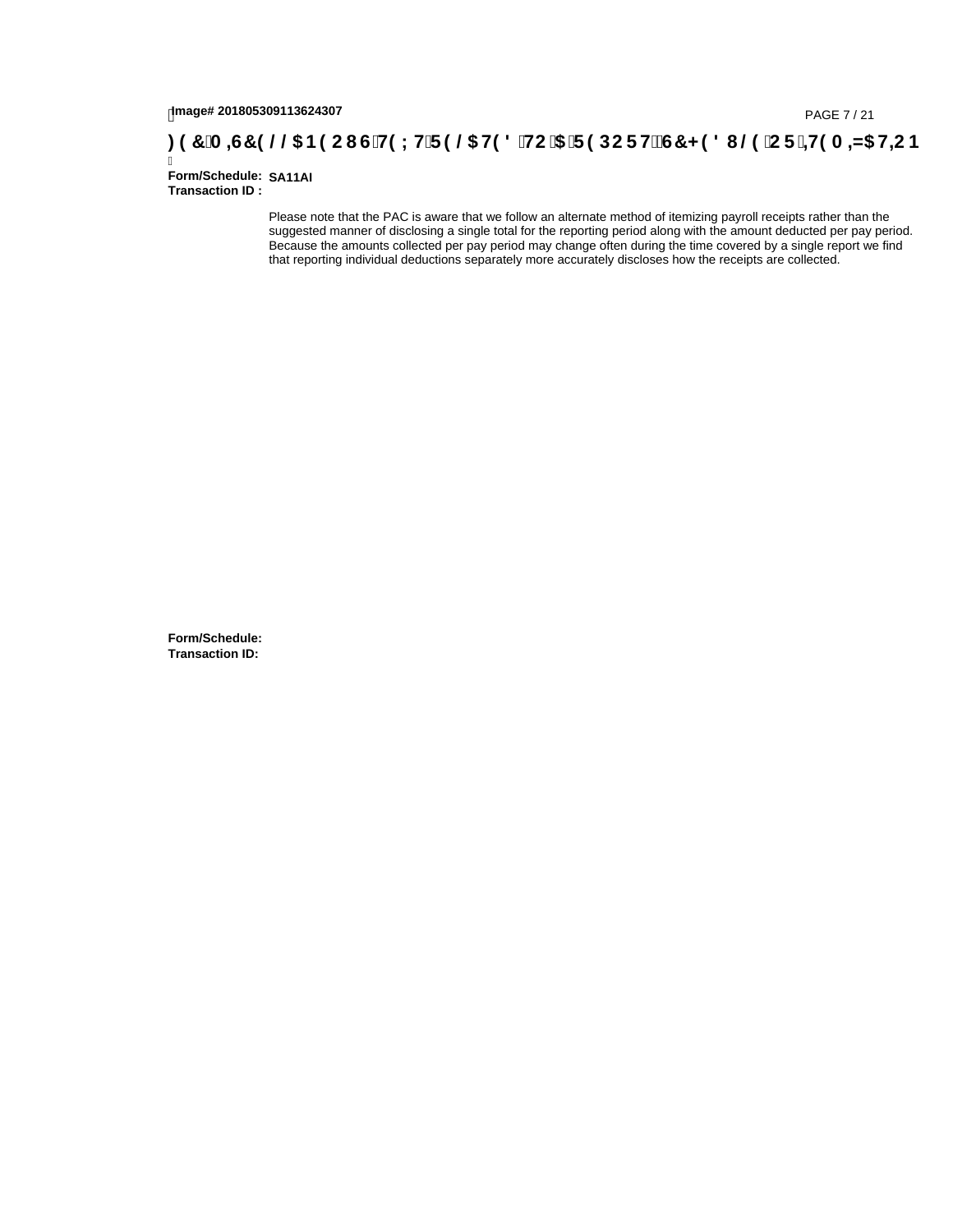#### **)(&0,6&(//\$1(2867(;75(/\$7('72\$5(32576&+('8/(25,7(0,=\$7,21**

Ī **Form/Schedule: SA11AI Transaction ID :** 

> Please note that the PAC is aware that we follow an alternate method of itemizing payroll receipts rather than the suggested manner of disclosing a single total for the reporting period along with the amount deducted per pay period. Because the amounts collected per pay period may change often during the time covered by a single report we find that reporting individual deductions separately more accurately discloses how the receipts are collected.

**Form/Schedule: Transaction ID:**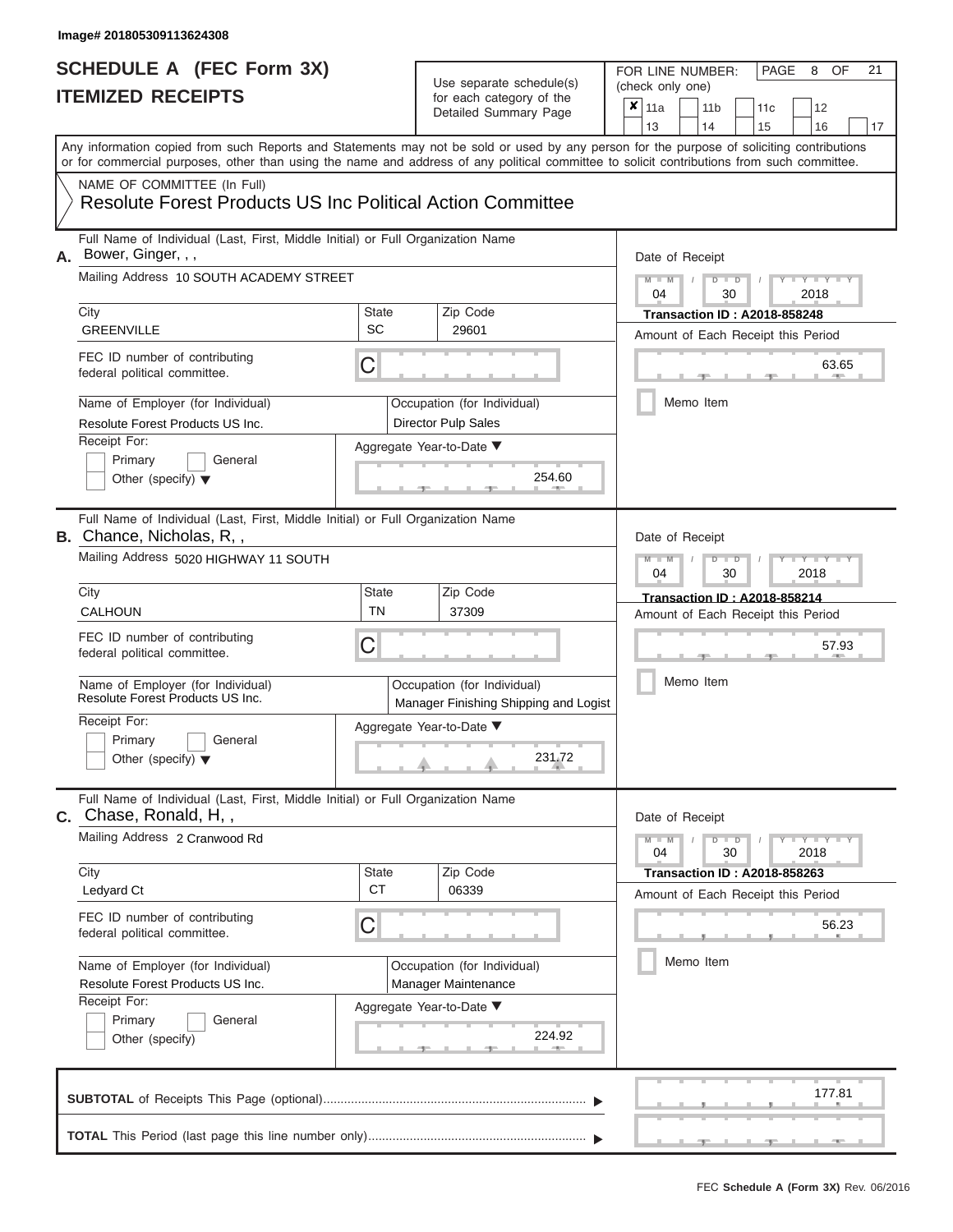### Use separate schedule(s)

| SCHEDULE A (FEC Form 3X)<br><b>ITEMIZED RECEIPTS</b>                                                                                                                                                                                                                                                                                                                                                        |                                | Use separate schedule(s)<br>for each category of the<br>Detailed Summary Page                                                   | 21<br>FOR LINE NUMBER:<br>PAGE<br>8<br>OF<br>(check only one)<br>$\overline{\mathbf{x}}$   11a<br>11 <sub>b</sub><br>11 <sub>c</sub><br>12                                                                                                                |
|-------------------------------------------------------------------------------------------------------------------------------------------------------------------------------------------------------------------------------------------------------------------------------------------------------------------------------------------------------------------------------------------------------------|--------------------------------|---------------------------------------------------------------------------------------------------------------------------------|-----------------------------------------------------------------------------------------------------------------------------------------------------------------------------------------------------------------------------------------------------------|
| Any information copied from such Reports and Statements may not be sold or used by any person for the purpose of soliciting contributions<br>or for commercial purposes, other than using the name and address of any political committee to solicit contributions from such committee.<br>NAME OF COMMITTEE (In Full)<br><b>Resolute Forest Products US Inc Political Action Committee</b>                 |                                |                                                                                                                                 | 13<br>14<br>15<br>16<br>17                                                                                                                                                                                                                                |
| Full Name of Individual (Last, First, Middle Initial) or Full Organization Name<br>Bower, Ginger, , ,<br>А.<br>Mailing Address 10 SOUTH ACADEMY STREET<br>City<br><b>GREENVILLE</b><br>FEC ID number of contributing<br>federal political committee.<br>Name of Employer (for Individual)<br>Resolute Forest Products US Inc.<br>Receipt For:<br>Primary<br>General<br>Other (specify) $\blacktriangledown$ | <b>State</b><br>SC<br>С        | Zip Code<br>29601<br>Occupation (for Individual)<br>Director Pulp Sales<br>Aggregate Year-to-Date ▼<br>254.60                   | Date of Receipt<br>$M$ – $M$ /<br>$D$ $D$<br>$Y - Y - I$<br>04<br>2018<br>30<br><b>Transaction ID: A2018-858248</b><br>Amount of Each Receipt this Period<br>63.65<br>Memo Item                                                                           |
| Full Name of Individual (Last, First, Middle Initial) or Full Organization Name<br><b>B.</b> Chance, Nicholas, R,,<br>Mailing Address 5020 HIGHWAY 11 SOUTH<br>City<br>CALHOUN<br>FEC ID number of contributing<br>federal political committee.<br>Name of Employer (for Individual)<br>Resolute Forest Products US Inc.<br>Receipt For:<br>Primary<br>General<br>Other (specify) $\blacktriangledown$      | <b>State</b><br><b>TN</b><br>С | Zip Code<br>37309<br>Occupation (for Individual)<br>Manager Finishing Shipping and Logist<br>Aggregate Year-to-Date ▼<br>231.72 | Date of Receipt<br>$M - M$<br>$\blacksquare$ $\blacksquare$ $\blacksquare$ $\blacksquare$ $\blacksquare$ $\blacksquare$<br>$D$ $D$<br>04<br>2018<br>30<br><b>Transaction ID: A2018-858214</b><br>Amount of Each Receipt this Period<br>57.93<br>Memo Item |
| Full Name of Individual (Last, First, Middle Initial) or Full Organization Name<br>C. Chase, Ronald, H,,<br>Mailing Address 2 Cranwood Rd<br>City<br>Ledyard Ct<br>FEC ID number of contributing<br>federal political committee.<br>Name of Employer (for Individual)<br>Resolute Forest Products US Inc.<br>Receipt For:<br>Primary<br>General<br>Other (specify)                                          | <b>State</b><br><b>CT</b><br>С | Zip Code<br>06339<br>Occupation (for Individual)<br>Manager Maintenance<br>Aggregate Year-to-Date ▼<br>224.92                   | Date of Receipt<br>$M - M$<br>$D$ $D$<br>$T - Y = Y - T Y$<br>04<br>30<br>2018<br><b>Transaction ID: A2018-858263</b><br>Amount of Each Receipt this Period<br>56.23<br>Memo Item                                                                         |
|                                                                                                                                                                                                                                                                                                                                                                                                             |                                |                                                                                                                                 | 177.81                                                                                                                                                                                                                                                    |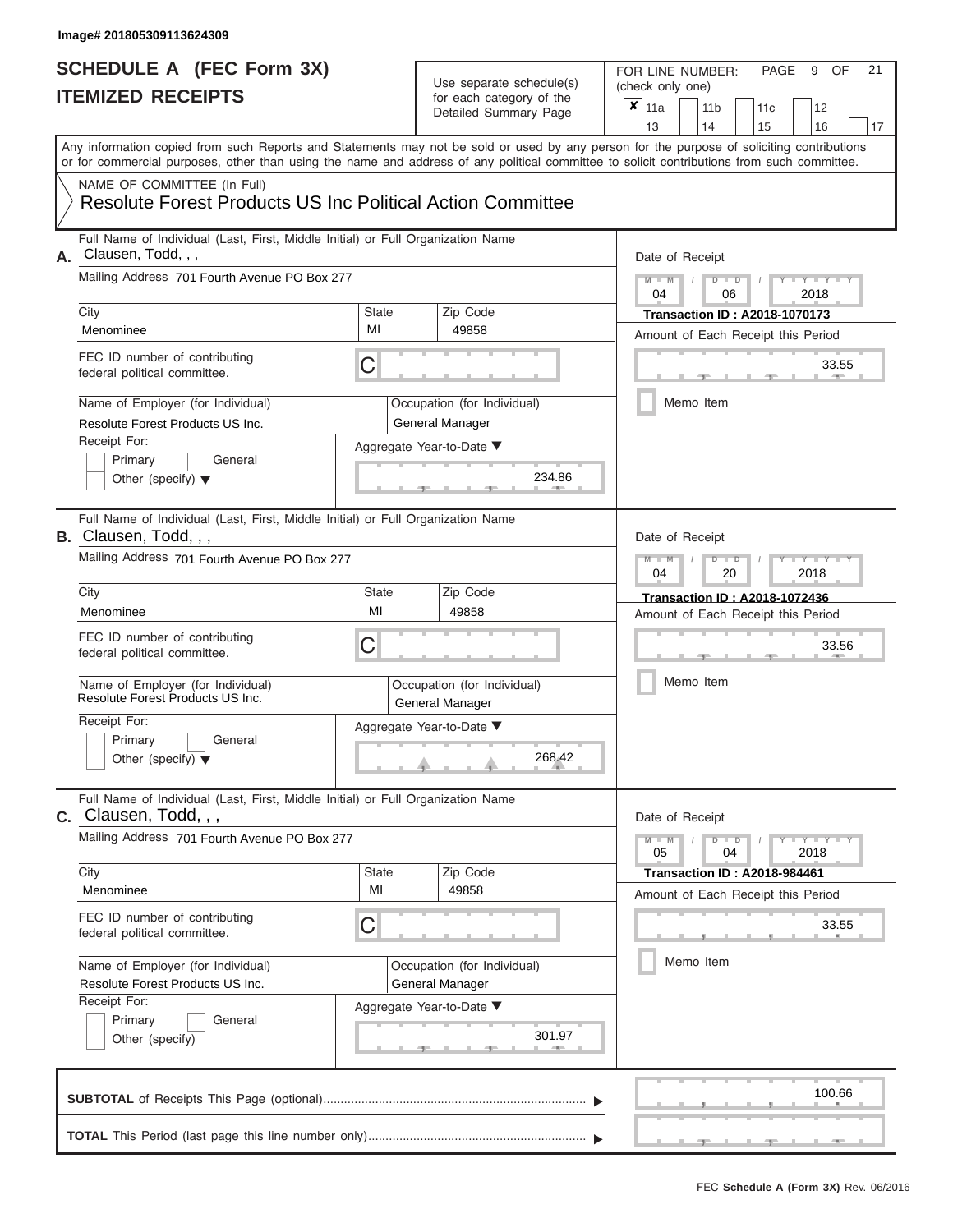#### **SCHEDULE A (FEC Form 3X) ITEMIZED RECEIPTS**

### Use separate schedule(s)

| SCHEDULE A (FEC Form 3X)<br><b>ITEMIZED RECEIPTS</b>                                                                                                                                                                                                                                                                                                                                                     |                         | Use separate schedule(s)<br>for each category of the<br>Detailed Summary Page                                    | 21<br>FOR LINE NUMBER:<br>PAGE<br>OF<br>9<br>(check only one)<br>$\overline{\mathbf{x}}$   11a<br>11 <sub>b</sub><br>12<br>11c<br>13<br>14                                                    |
|----------------------------------------------------------------------------------------------------------------------------------------------------------------------------------------------------------------------------------------------------------------------------------------------------------------------------------------------------------------------------------------------------------|-------------------------|------------------------------------------------------------------------------------------------------------------|-----------------------------------------------------------------------------------------------------------------------------------------------------------------------------------------------|
| Any information copied from such Reports and Statements may not be sold or used by any person for the purpose of soliciting contributions<br>or for commercial purposes, other than using the name and address of any political committee to solicit contributions from such committee.<br>NAME OF COMMITTEE (In Full)<br><b>Resolute Forest Products US Inc Political Action Committee</b>              |                         |                                                                                                                  | 15<br>16<br>17                                                                                                                                                                                |
| Full Name of Individual (Last, First, Middle Initial) or Full Organization Name<br>Clausen, Todd, , ,<br>А.<br>Mailing Address 701 Fourth Avenue PO Box 277<br>City<br>Menominee<br>FEC ID number of contributing<br>federal political committee.<br>Name of Employer (for Individual)<br>Resolute Forest Products US Inc.<br>Receipt For:<br>Primary<br>General<br>Other (specify) $\blacktriangledown$ | <b>State</b><br>MI<br>С | Zip Code<br>49858<br>Occupation (for Individual)<br>General Manager<br>Aggregate Year-to-Date ▼<br>234.86        | Date of Receipt<br>$M - M$<br>$D$ $D$<br>Y TY T<br>$\sqrt{2}$<br>04<br>2018<br>06<br><b>Transaction ID: A2018-1070173</b><br>Amount of Each Receipt this Period<br>33.55<br>Memo Item         |
| Full Name of Individual (Last, First, Middle Initial) or Full Organization Name<br>B. Clausen, Todd, , ,<br>Mailing Address 701 Fourth Avenue PO Box 277<br>City<br>Menominee<br>FEC ID number of contributing<br>federal political committee.<br>Name of Employer (for Individual)<br>Resolute Forest Products US Inc.<br>Receipt For:<br>Primary<br>General<br>Other (specify) $\blacktriangledown$    | State<br>MI<br>С        | Zip Code<br>49858<br>Occupation (for Individual)<br><b>General Manager</b><br>Aggregate Year-to-Date ▼<br>268.42 | Date of Receipt<br>$M - M$<br>$D$ $\Box$ $D$<br>Y TYT<br>04<br>2018<br>20<br>Transaction ID: A2018-1072436<br>Amount of Each Receipt this Period<br>33.56<br>Memo Item                        |
| Full Name of Individual (Last, First, Middle Initial) or Full Organization Name<br>$c.$ Clausen, Todd, $, ,$<br>Mailing Address 701 Fourth Avenue PO Box 277<br>City<br>Menominee<br>FEC ID number of contributing<br>federal political committee.<br>Name of Employer (for Individual)<br>Resolute Forest Products US Inc.<br>Receipt For:<br>Primary<br>General<br>Other (specify)                     | <b>State</b><br>MI<br>С | Zip Code<br>49858<br>Occupation (for Individual)<br>General Manager<br>Aggregate Year-to-Date ▼<br>301.97        | Date of Receipt<br>$M - M$<br>$D$ $D$<br>$-1$ $-1$ $-1$ $-1$ $-1$ $-1$<br>04<br>2018<br>05<br><b>Transaction ID: A2018-984461</b><br>Amount of Each Receipt this Period<br>33.55<br>Memo Item |
|                                                                                                                                                                                                                                                                                                                                                                                                          |                         |                                                                                                                  | 100.66                                                                                                                                                                                        |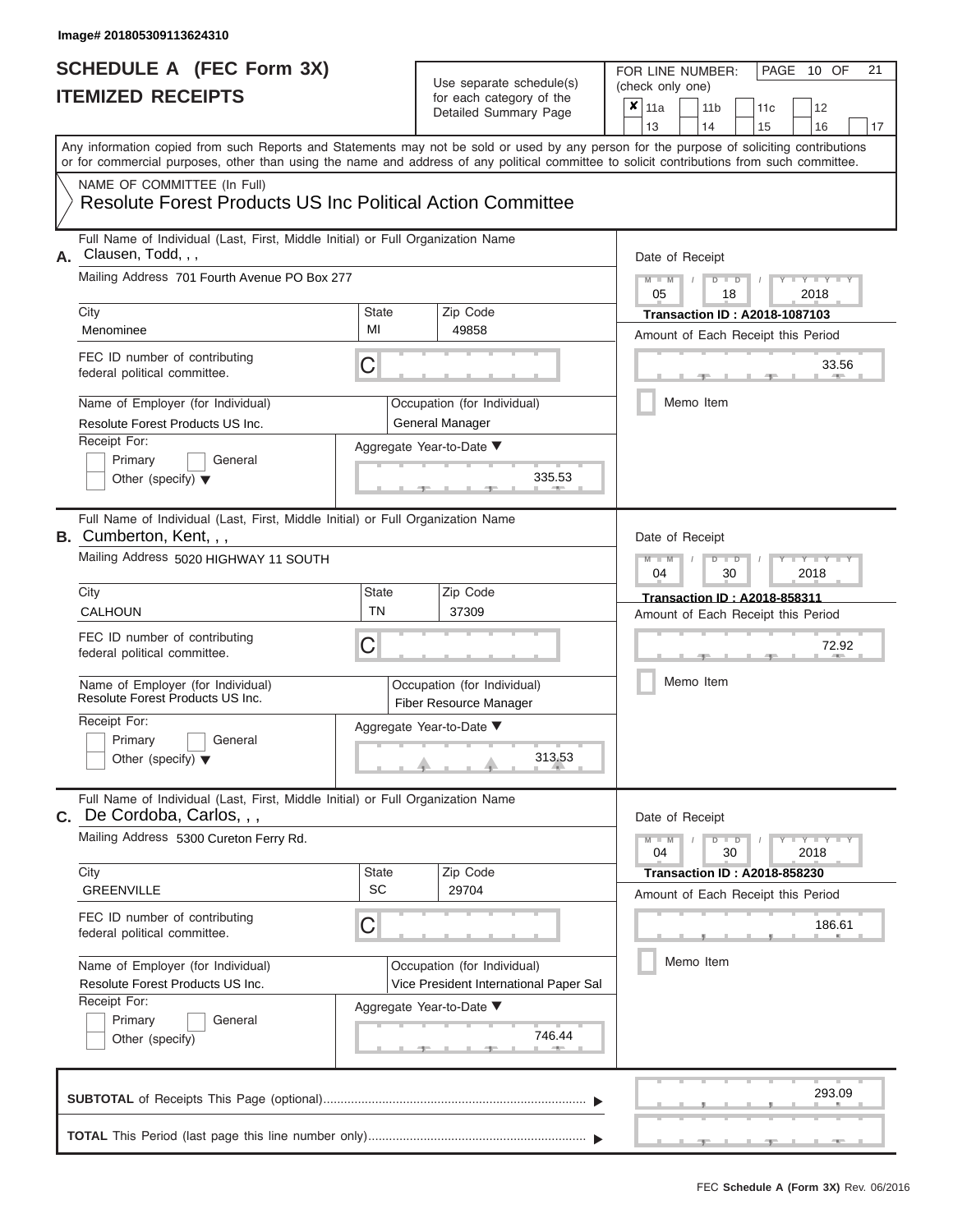## **SCHEDULE A (FEC Form 3X)**

#### Use separate schedule(s)

| SCHEDULE A (FEC Form 3X)<br><b>ITEMIZED RECEIPTS</b>                                                                                                                      |                                                                           | Use separate schedule(s)<br>for each category of the<br>Detailed Summary Page | 21<br>FOR LINE NUMBER:<br>PAGE 10 OF<br>(check only one)<br>$\boldsymbol{x}$<br>11a<br>11 <sub>b</sub><br>12<br>11c                                                     |
|---------------------------------------------------------------------------------------------------------------------------------------------------------------------------|---------------------------------------------------------------------------|-------------------------------------------------------------------------------|-------------------------------------------------------------------------------------------------------------------------------------------------------------------------|
| or for commercial purposes, other than using the name and address of any political committee to solicit contributions from such committee.<br>NAME OF COMMITTEE (In Full) |                                                                           |                                                                               | 13<br>14<br>15<br>16<br>17<br>Any information copied from such Reports and Statements may not be sold or used by any person for the purpose of soliciting contributions |
| <b>Resolute Forest Products US Inc Political Action Committee</b>                                                                                                         |                                                                           |                                                                               |                                                                                                                                                                         |
| Full Name of Individual (Last, First, Middle Initial) or Full Organization Name<br>Clausen, Todd, , ,<br>А.<br>Mailing Address 701 Fourth Avenue PO Box 277               |                                                                           |                                                                               | Date of Receipt<br>$M - M$<br>$D$ $D$<br>Y TY T<br>$\sqrt{ }$<br>05<br>2018<br>18                                                                                       |
| City<br>Menominee                                                                                                                                                         | State<br>MI                                                               | Zip Code<br>49858                                                             | <b>Transaction ID: A2018-1087103</b><br>Amount of Each Receipt this Period                                                                                              |
| FEC ID number of contributing<br>federal political committee.                                                                                                             | С                                                                         |                                                                               | 33.56<br><b>ARCHITECT</b>                                                                                                                                               |
| Name of Employer (for Individual)<br>Resolute Forest Products US Inc.                                                                                                     |                                                                           | Occupation (for Individual)<br><b>General Manager</b>                         | Memo Item                                                                                                                                                               |
| Receipt For:<br>Primary<br>General<br>Other (specify) $\blacktriangledown$                                                                                                |                                                                           | Aggregate Year-to-Date ▼<br>335.53                                            |                                                                                                                                                                         |
| Full Name of Individual (Last, First, Middle Initial) or Full Organization Name<br><b>B.</b> Cumberton, Kent, , ,<br>Mailing Address 5020 HIGHWAY 11 SOUTH                | Date of Receipt<br>$M - M$<br>$D$ $\Box$ $D$<br>Y Y I<br>04<br>2018<br>30 |                                                                               |                                                                                                                                                                         |
| City<br>CALHOUN                                                                                                                                                           | <b>State</b><br><b>TN</b>                                                 | Zip Code<br>37309                                                             | <b>Transaction ID: A2018-858311</b><br>Amount of Each Receipt this Period                                                                                               |
| FEC ID number of contributing<br>federal political committee.                                                                                                             | С                                                                         |                                                                               | 72.92                                                                                                                                                                   |
| Name of Employer (for Individual)<br>Resolute Forest Products US Inc.                                                                                                     |                                                                           | Occupation (for Individual)<br><b>Fiber Resource Manager</b>                  | Memo Item                                                                                                                                                               |
| Receipt For:<br>Primary<br>General<br>Other (specify) $\blacktriangledown$                                                                                                |                                                                           | Aggregate Year-to-Date ▼<br>313.53                                            |                                                                                                                                                                         |
| Full Name of Individual (Last, First, Middle Initial) or Full Organization Name<br>C. De Cordoba, Carlos, , ,                                                             |                                                                           |                                                                               | Date of Receipt                                                                                                                                                         |
| Mailing Address 5300 Cureton Ferry Rd.                                                                                                                                    |                                                                           |                                                                               | $M - M$<br>$D$ $D$<br>$+Y+Y+Y$<br>04<br>30<br>2018                                                                                                                      |
| City<br><b>GREENVILLE</b>                                                                                                                                                 | <b>State</b><br>SC                                                        | Zip Code<br>29704                                                             | <b>Transaction ID: A2018-858230</b><br>Amount of Each Receipt this Period                                                                                               |
| FEC ID number of contributing<br>federal political committee.                                                                                                             | С                                                                         |                                                                               | 186.61                                                                                                                                                                  |
| Name of Employer (for Individual)<br>Resolute Forest Products US Inc.                                                                                                     |                                                                           | Occupation (for Individual)<br>Vice President International Paper Sal         | Memo Item                                                                                                                                                               |
| Receipt For:<br>Primary<br>General<br>Other (specify)                                                                                                                     |                                                                           | Aggregate Year-to-Date ▼<br>746.44                                            |                                                                                                                                                                         |
|                                                                                                                                                                           |                                                                           |                                                                               | 293.09                                                                                                                                                                  |
|                                                                                                                                                                           |                                                                           |                                                                               |                                                                                                                                                                         |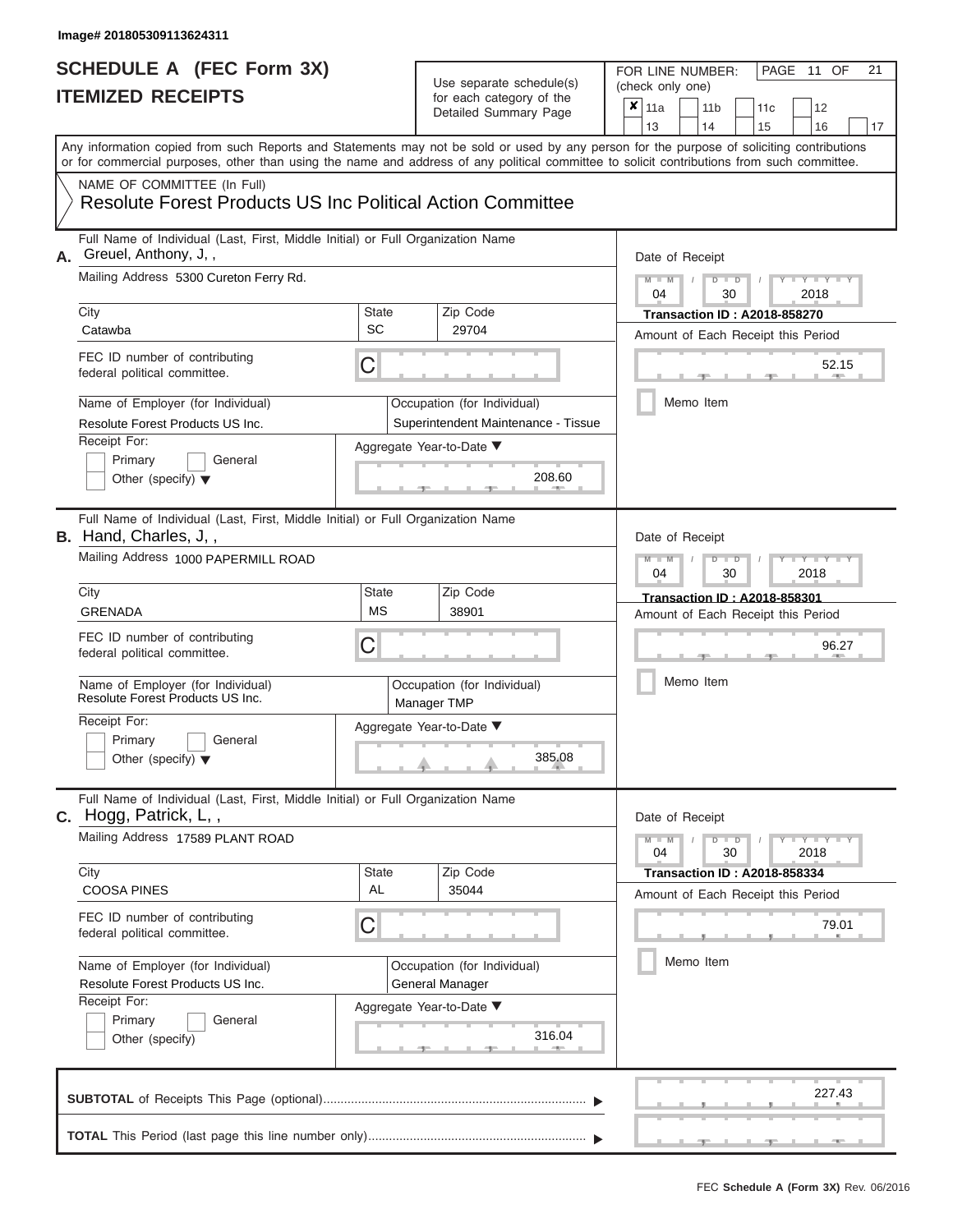## **SCHEDULE A (FEC Form 3X)**

### Use separate schedule(s)

| SCHEDULE A (FEC Form 3X)<br><b>ITEMIZED RECEIPTS</b>                                                                                                                                                                                                                                                                   |                    | Use separate schedule(s)<br>for each category of the<br>Detailed Summary Page | 21<br>FOR LINE NUMBER:<br>PAGE 11 OF<br>(check only one)<br>$\overline{\mathbf{x}}$ 11a<br>11 <sub>b</sub><br>12<br>11 <sub>c</sub> |
|------------------------------------------------------------------------------------------------------------------------------------------------------------------------------------------------------------------------------------------------------------------------------------------------------------------------|--------------------|-------------------------------------------------------------------------------|-------------------------------------------------------------------------------------------------------------------------------------|
| Any information copied from such Reports and Statements may not be sold or used by any person for the purpose of soliciting contributions<br>or for commercial purposes, other than using the name and address of any political committee to solicit contributions from such committee.<br>NAME OF COMMITTEE (In Full) |                    |                                                                               | 13<br>14<br>15<br>16<br>17                                                                                                          |
| Resolute Forest Products US Inc Political Action Committee                                                                                                                                                                                                                                                             |                    |                                                                               |                                                                                                                                     |
| Full Name of Individual (Last, First, Middle Initial) or Full Organization Name<br>Greuel, Anthony, J,,<br>Mailing Address 5300 Cureton Ferry Rd.                                                                                                                                                                      |                    |                                                                               | Date of Receipt                                                                                                                     |
| City                                                                                                                                                                                                                                                                                                                   | State              | Zip Code                                                                      | $M - M$ /<br>$D$ $D$<br>$Y - Y - I$<br>04<br>30<br>2018                                                                             |
| Catawba                                                                                                                                                                                                                                                                                                                | SC                 | 29704                                                                         | <b>Transaction ID: A2018-858270</b><br>Amount of Each Receipt this Period                                                           |
| FEC ID number of contributing<br>federal political committee.                                                                                                                                                                                                                                                          | С                  |                                                                               | 52.15<br><b>AND I</b>                                                                                                               |
| Name of Employer (for Individual)<br>Resolute Forest Products US Inc.                                                                                                                                                                                                                                                  |                    | Occupation (for Individual)<br>Superintendent Maintenance - Tissue            | Memo Item                                                                                                                           |
| Receipt For:<br>Primary<br>General<br>Other (specify) $\blacktriangledown$                                                                                                                                                                                                                                             |                    | Aggregate Year-to-Date ▼<br>208.60                                            |                                                                                                                                     |
| Full Name of Individual (Last, First, Middle Initial) or Full Organization Name<br><b>B.</b> Hand, Charles, J,,<br>Mailing Address 1000 PAPERMILL ROAD                                                                                                                                                                 |                    |                                                                               | Date of Receipt<br>$M - M$<br>$D$ $\Box$ $D$<br>$\Box Y \Box Y \Box Y$                                                              |
| City                                                                                                                                                                                                                                                                                                                   | <b>State</b>       | Zip Code                                                                      | 04<br>2018<br>30                                                                                                                    |
| <b>GRENADA</b>                                                                                                                                                                                                                                                                                                         | <b>MS</b>          | 38901                                                                         | <b>Transaction ID: A2018-858301</b><br>Amount of Each Receipt this Period                                                           |
| FEC ID number of contributing<br>federal political committee.                                                                                                                                                                                                                                                          | С                  |                                                                               | 96.27                                                                                                                               |
| Name of Employer (for Individual)<br>Resolute Forest Products US Inc.                                                                                                                                                                                                                                                  |                    | Occupation (for Individual)<br>Manager TMP                                    | Memo Item                                                                                                                           |
| Receipt For:                                                                                                                                                                                                                                                                                                           |                    | Aggregate Year-to-Date ▼                                                      |                                                                                                                                     |
| Primary<br>General<br>Other (specify) $\blacktriangledown$                                                                                                                                                                                                                                                             |                    | 385.08                                                                        |                                                                                                                                     |
| Full Name of Individual (Last, First, Middle Initial) or Full Organization Name<br>C. Hogg, Patrick, L,,                                                                                                                                                                                                               |                    |                                                                               | Date of Receipt                                                                                                                     |
| Mailing Address 17589 PLANT ROAD                                                                                                                                                                                                                                                                                       |                    |                                                                               | $M - M$<br>$D$ $D$<br>$T - Y = Y + Y$<br>04<br>30<br>2018                                                                           |
| City<br><b>COOSA PINES</b>                                                                                                                                                                                                                                                                                             | <b>State</b><br>AL | Zip Code<br>35044                                                             | <b>Transaction ID: A2018-858334</b><br>Amount of Each Receipt this Period                                                           |
| FEC ID number of contributing<br>federal political committee.                                                                                                                                                                                                                                                          | С                  |                                                                               | 79.01                                                                                                                               |
| Name of Employer (for Individual)<br>Resolute Forest Products US Inc.                                                                                                                                                                                                                                                  |                    | Occupation (for Individual)<br>General Manager                                | Memo Item                                                                                                                           |
| Receipt For:<br>Primary<br>General<br>Other (specify)                                                                                                                                                                                                                                                                  |                    | Aggregate Year-to-Date ▼<br>316.04                                            |                                                                                                                                     |
|                                                                                                                                                                                                                                                                                                                        |                    |                                                                               | 227.43                                                                                                                              |
|                                                                                                                                                                                                                                                                                                                        |                    |                                                                               | $-1$<br>$-1$<br>$-1$                                                                                                                |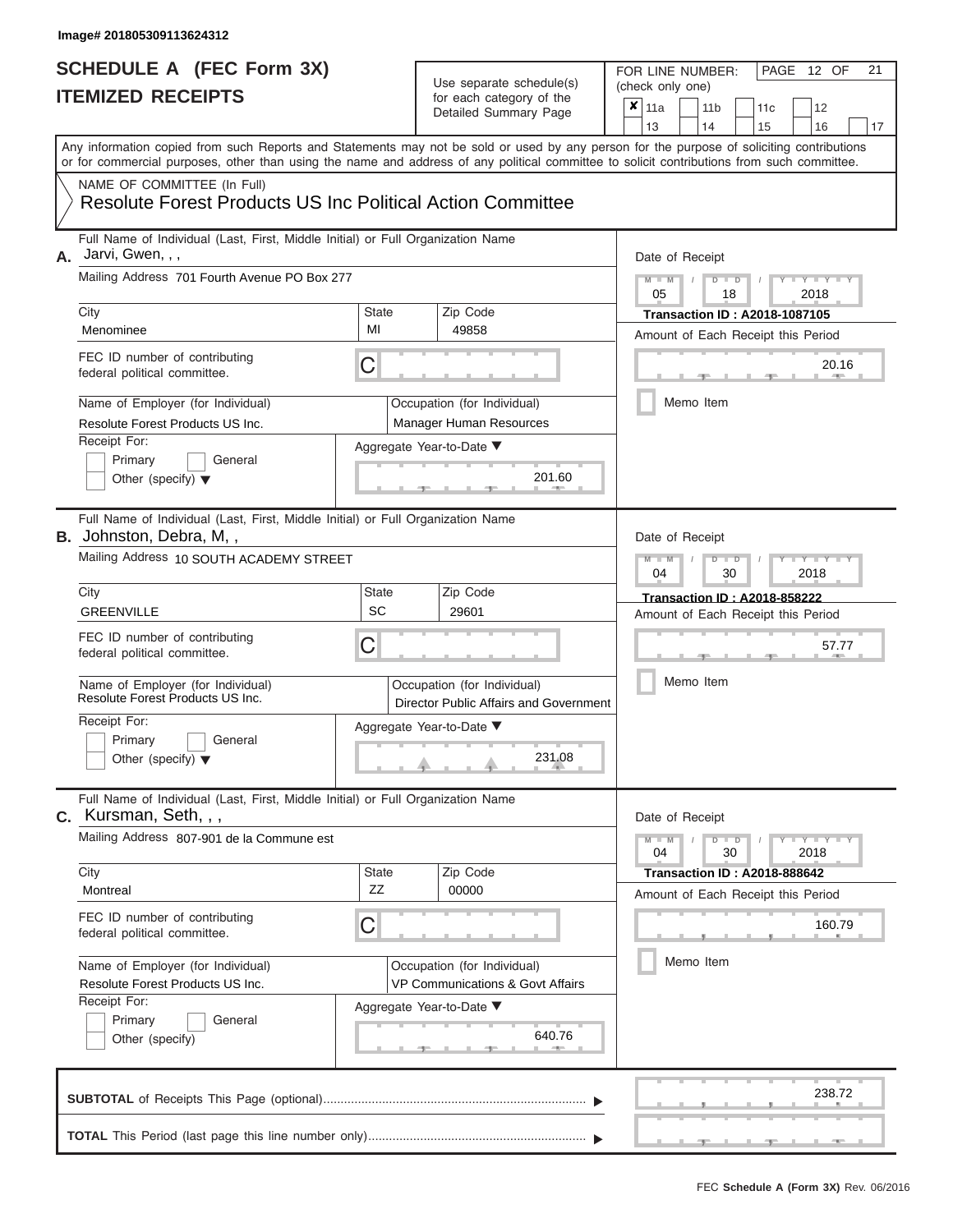#### **SCHEDULE A (FEC Form 3X) ITEMIZED RECEIPTS**

| SCHEDULE A (FEC Form 3X)<br><b>ITEMIZED RECEIPTS</b>                                                                                                                                                                                                                                                                                                                                                              |                                | Use separate schedule(s)<br>for each category of the<br>Detailed Summary Page                                                    | 21<br>FOR LINE NUMBER:<br>PAGE 12 OF<br>(check only one)<br>$\overline{\mathbf{x}}$   11a<br>11 <sub>b</sub><br>11 <sub>c</sub><br>12                                                           |
|-------------------------------------------------------------------------------------------------------------------------------------------------------------------------------------------------------------------------------------------------------------------------------------------------------------------------------------------------------------------------------------------------------------------|--------------------------------|----------------------------------------------------------------------------------------------------------------------------------|-------------------------------------------------------------------------------------------------------------------------------------------------------------------------------------------------|
| Any information copied from such Reports and Statements may not be sold or used by any person for the purpose of soliciting contributions<br>or for commercial purposes, other than using the name and address of any political committee to solicit contributions from such committee.<br>NAME OF COMMITTEE (In Full)                                                                                            |                                |                                                                                                                                  | 13<br>14<br>15<br>16<br>17                                                                                                                                                                      |
| <b>Resolute Forest Products US Inc Political Action Committee</b>                                                                                                                                                                                                                                                                                                                                                 |                                |                                                                                                                                  |                                                                                                                                                                                                 |
| Full Name of Individual (Last, First, Middle Initial) or Full Organization Name<br>Jarvi, Gwen, , ,<br>А.<br>Mailing Address 701 Fourth Avenue PO Box 277<br>City<br>Menominee<br>FEC ID number of contributing<br>federal political committee.<br>Name of Employer (for Individual)<br>Resolute Forest Products US Inc.<br>Receipt For:<br>Primary<br>General<br>Other (specify) $\blacktriangledown$            | State<br>MI<br>C               | Zip Code<br>49858<br>Occupation (for Individual)<br>Manager Human Resources<br>Aggregate Year-to-Date ▼<br>201.60                | Date of Receipt<br>$M - M$ /<br>$D$ $D$<br>$Y - Y - I$<br>05<br>2018<br>18<br><b>Transaction ID: A2018-1087105</b><br>Amount of Each Receipt this Period<br>20.16<br><b>AND IN</b><br>Memo Item |
| Full Name of Individual (Last, First, Middle Initial) or Full Organization Name<br><b>B.</b> Johnston, Debra, M,,<br>Mailing Address 10 SOUTH ACADEMY STREET<br>City<br><b>GREENVILLE</b><br>FEC ID number of contributing<br>federal political committee.<br>Name of Employer (for Individual)<br>Resolute Forest Products US Inc.<br>Receipt For:<br>Primary<br>General<br>Other (specify) $\blacktriangledown$ | <b>State</b><br><b>SC</b><br>С | Zip Code<br>29601<br>Occupation (for Individual)<br>Director Public Affairs and Government<br>Aggregate Year-to-Date ▼<br>231.08 | Date of Receipt<br>$M - M$<br>$D$ $D$<br>YTY<br>04<br>30<br>2018<br><b>Transaction ID: A2018-858222</b><br>Amount of Each Receipt this Period<br>57.77<br>Memo Item                             |
| Full Name of Individual (Last, First, Middle Initial) or Full Organization Name<br><b>C.</b> Kursman, Seth, , ,<br>Mailing Address 807-901 de la Commune est<br>City<br>Montreal<br>FEC ID number of contributing<br>federal political committee.<br>Name of Employer (for Individual)<br>Resolute Forest Products US Inc.<br>Receipt For:<br>Primary<br>General<br>Other (specify)                               | State<br>ZZ<br>С               | Zip Code<br>00000<br>Occupation (for Individual)<br>VP Communications & Govt Affairs<br>Aggregate Year-to-Date ▼<br>640.76       | Date of Receipt<br>$M - M$<br>$D$ $D$<br>$-Y - Y - Y - Y$<br>04<br>30<br>2018<br><b>Transaction ID: A2018-888642</b><br>Amount of Each Receipt this Period<br>160.79<br>Memo Item               |
|                                                                                                                                                                                                                                                                                                                                                                                                                   |                                |                                                                                                                                  | 238.72<br>$-1$                                                                                                                                                                                  |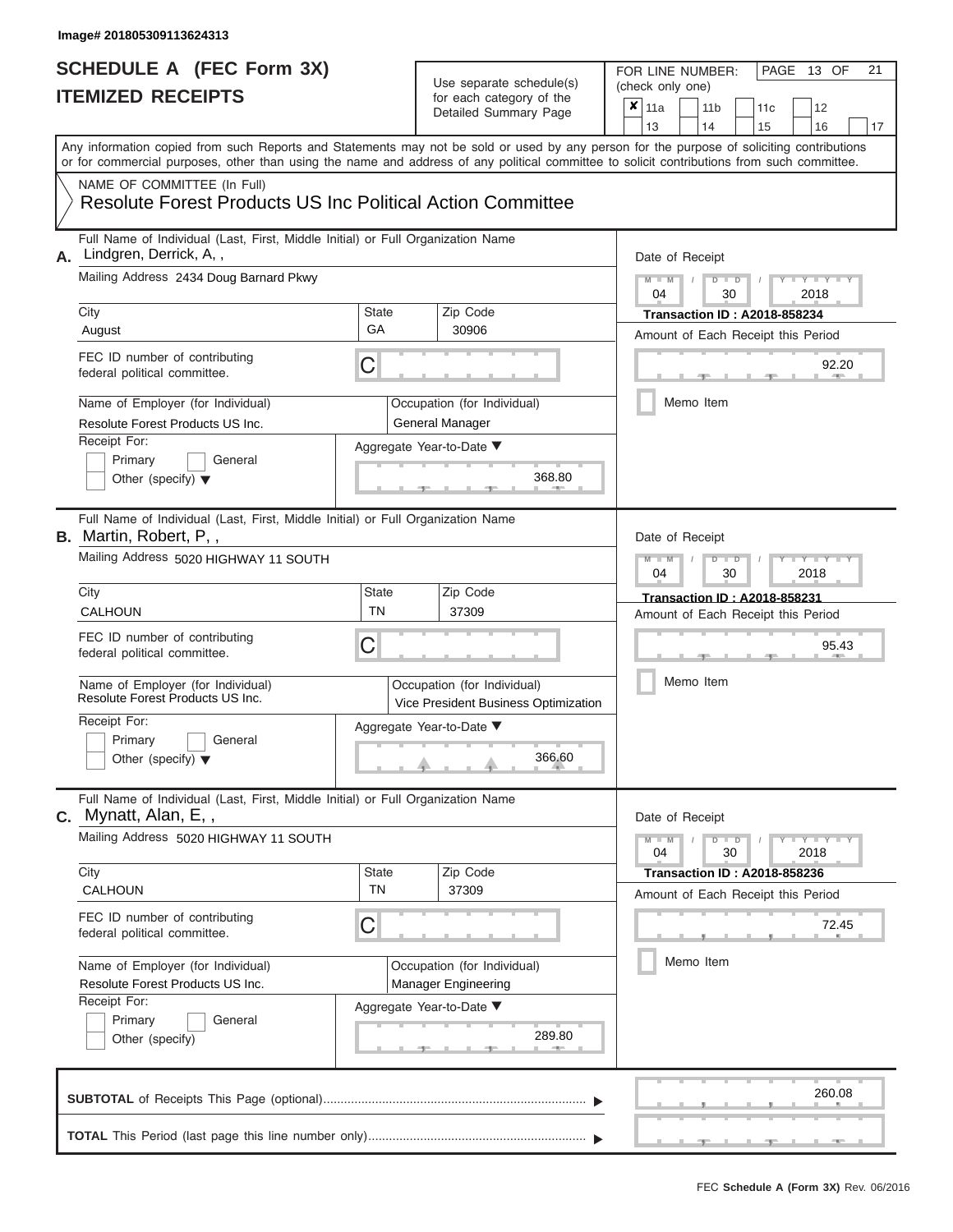## **SCHEDULE A (FEC Form 3X)**

## Use separate schedule(s)

| SCHEDULE A (FEC Form 3X)<br><b>ITEMIZED RECEIPTS</b>                                                                                       |                           | Use separate schedule(s)<br>for each category of the<br>Detailed Summary Page | 21<br>FOR LINE NUMBER:<br>PAGE<br>13 OF<br>(check only one)<br>$\overline{\mathbf{x}}$   11a<br>11 <sub>b</sub><br>12<br>11c                                            |
|--------------------------------------------------------------------------------------------------------------------------------------------|---------------------------|-------------------------------------------------------------------------------|-------------------------------------------------------------------------------------------------------------------------------------------------------------------------|
|                                                                                                                                            |                           |                                                                               | 13<br>14<br>15<br>16<br>17<br>Any information copied from such Reports and Statements may not be sold or used by any person for the purpose of soliciting contributions |
| or for commercial purposes, other than using the name and address of any political committee to solicit contributions from such committee. |                           |                                                                               |                                                                                                                                                                         |
| NAME OF COMMITTEE (In Full)<br><b>Resolute Forest Products US Inc Political Action Committee</b>                                           |                           |                                                                               |                                                                                                                                                                         |
| Full Name of Individual (Last, First, Middle Initial) or Full Organization Name<br>Lindgren, Derrick, A,,<br>А.                            |                           |                                                                               | Date of Receipt                                                                                                                                                         |
| Mailing Address 2434 Doug Barnard Pkwy                                                                                                     |                           |                                                                               | $M - M$<br>$D$ $D$<br>$Y - Y - I$<br>$\sqrt{ }$<br>04<br>30<br>2018                                                                                                     |
| City<br>August                                                                                                                             | State<br>GA               | Zip Code<br>30906                                                             | <b>Transaction ID: A2018-858234</b><br>Amount of Each Receipt this Period                                                                                               |
| FEC ID number of contributing<br>federal political committee.                                                                              | С                         |                                                                               | 92.20<br><b>ARCHITECT</b>                                                                                                                                               |
| Name of Employer (for Individual)<br>Resolute Forest Products US Inc.                                                                      |                           | Occupation (for Individual)<br>General Manager                                | Memo Item                                                                                                                                                               |
| Receipt For:<br>Primary<br>General<br>Other (specify) $\blacktriangledown$                                                                 |                           | Aggregate Year-to-Date ▼<br>368.80                                            |                                                                                                                                                                         |
| Full Name of Individual (Last, First, Middle Initial) or Full Organization Name<br><b>B.</b> Martin, Robert, P,,                           |                           |                                                                               | Date of Receipt                                                                                                                                                         |
| Mailing Address 5020 HIGHWAY 11 SOUTH                                                                                                      |                           |                                                                               | $M - M$<br>$D$ $\Box$ $D$<br>Y Y Y<br>2018<br>04<br>30                                                                                                                  |
| City<br>CALHOUN                                                                                                                            | <b>State</b><br><b>TN</b> | Zip Code<br>37309                                                             | <b>Transaction ID: A2018-858231</b><br>Amount of Each Receipt this Period                                                                                               |
| FEC ID number of contributing<br>federal political committee.                                                                              | С                         |                                                                               | 95.43                                                                                                                                                                   |
| Name of Employer (for Individual)<br>Resolute Forest Products US Inc.                                                                      |                           | Occupation (for Individual)<br>Vice President Business Optimization           | Memo Item                                                                                                                                                               |
| Receipt For:                                                                                                                               |                           | Aggregate Year-to-Date ▼                                                      |                                                                                                                                                                         |
| Primary<br>General<br>Other (specify) $\blacktriangledown$                                                                                 |                           | 366.60                                                                        |                                                                                                                                                                         |
| Full Name of Individual (Last, First, Middle Initial) or Full Organization Name<br>$C.$ Mynatt, Alan, E,,                                  |                           |                                                                               | Date of Receipt                                                                                                                                                         |
| Mailing Address 5020 HIGHWAY 11 SOUTH                                                                                                      |                           |                                                                               | $M - M$<br>$D$ $D$<br>$\mathbf{I} = \mathbf{Y} + \mathbf{Y}$<br>04<br>30<br>2018                                                                                        |
| City<br><b>CALHOUN</b>                                                                                                                     | State<br><b>TN</b>        | Zip Code<br>37309                                                             | <b>Transaction ID: A2018-858236</b><br>Amount of Each Receipt this Period                                                                                               |
| FEC ID number of contributing<br>federal political committee.                                                                              | С                         |                                                                               | 72.45                                                                                                                                                                   |
| Name of Employer (for Individual)<br>Resolute Forest Products US Inc.                                                                      |                           | Occupation (for Individual)<br><b>Manager Engineering</b>                     | Memo Item                                                                                                                                                               |
| Receipt For:<br>Primary<br>General<br>Other (specify)                                                                                      |                           | Aggregate Year-to-Date ▼<br>289.80                                            |                                                                                                                                                                         |
|                                                                                                                                            |                           |                                                                               | 260.08                                                                                                                                                                  |
|                                                                                                                                            |                           |                                                                               |                                                                                                                                                                         |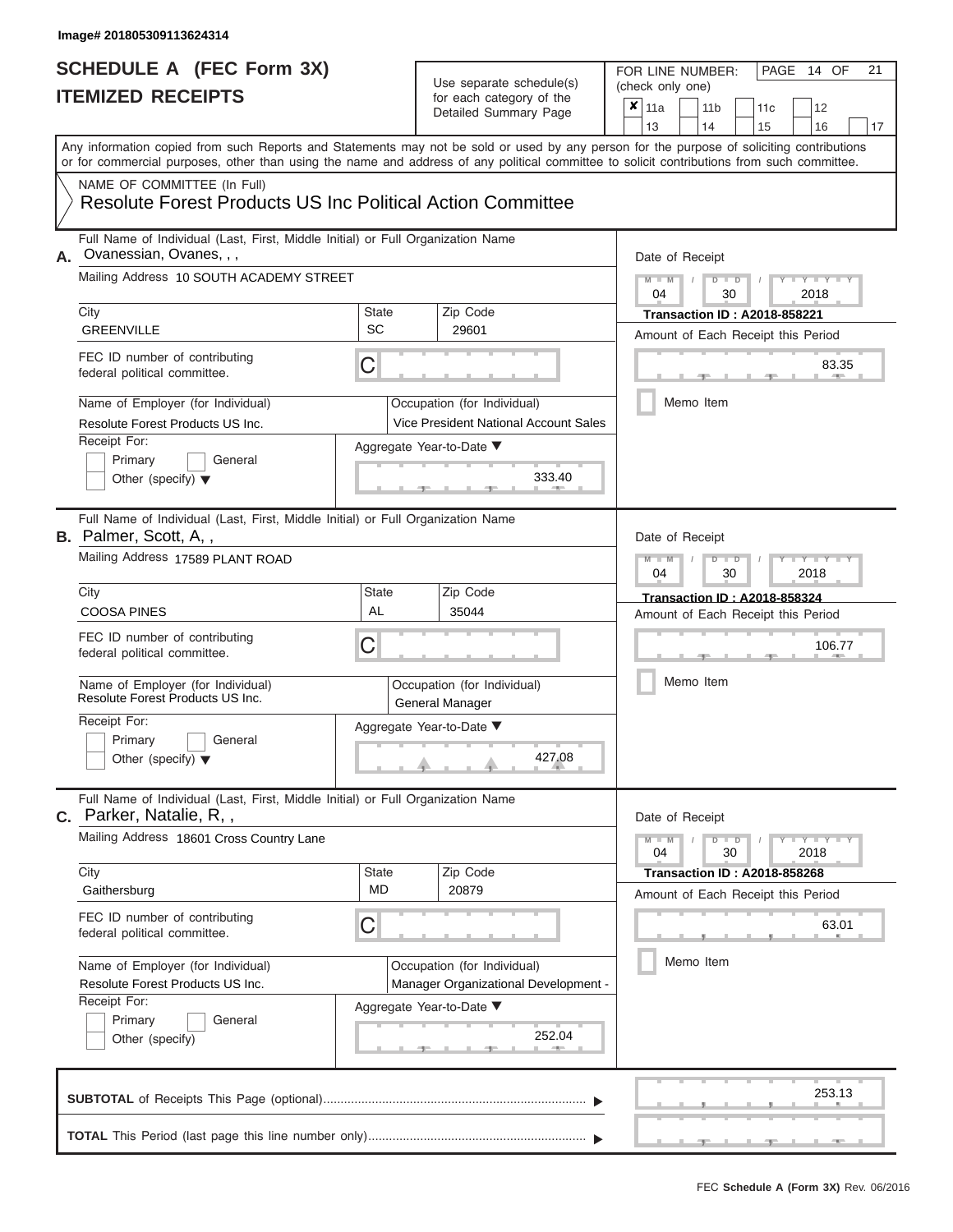#### Use separate schedule(s)

| SCHEDULE A (FEC Form 3X)<br><b>ITEMIZED RECEIPTS</b>                                                                                                                                                                                                                                                                                                                                                             |                                | Use separate schedule(s)<br>for each category of the<br>Detailed Summary Page                                                   | 21<br>FOR LINE NUMBER:<br>PAGE 14 OF<br>(check only one)<br>$\overline{\mathbf{x}}$   11a<br>11 <sub>b</sub><br>11 <sub>c</sub><br>12                                                       |
|------------------------------------------------------------------------------------------------------------------------------------------------------------------------------------------------------------------------------------------------------------------------------------------------------------------------------------------------------------------------------------------------------------------|--------------------------------|---------------------------------------------------------------------------------------------------------------------------------|---------------------------------------------------------------------------------------------------------------------------------------------------------------------------------------------|
| Any information copied from such Reports and Statements may not be sold or used by any person for the purpose of soliciting contributions<br>or for commercial purposes, other than using the name and address of any political committee to solicit contributions from such committee.                                                                                                                          |                                |                                                                                                                                 | 13<br>14<br>15<br>16<br>17                                                                                                                                                                  |
| NAME OF COMMITTEE (In Full)<br><b>Resolute Forest Products US Inc Political Action Committee</b>                                                                                                                                                                                                                                                                                                                 |                                |                                                                                                                                 |                                                                                                                                                                                             |
| Full Name of Individual (Last, First, Middle Initial) or Full Organization Name<br>Ovanessian, Ovanes, , ,<br>А.<br>Mailing Address 10 SOUTH ACADEMY STREET<br>City<br><b>GREENVILLE</b><br>FEC ID number of contributing<br>federal political committee.<br>Name of Employer (for Individual)<br>Resolute Forest Products US Inc.<br>Receipt For:<br>Primary<br>General<br>Other (specify) $\blacktriangledown$ | State<br>SC<br>C               | Zip Code<br>29601<br>Occupation (for Individual)<br>Vice President National Account Sales<br>Aggregate Year-to-Date ▼<br>333.40 | Date of Receipt<br>$M - M$ /<br>$D$ $D$<br>$Y - Y - I$<br>04<br>30<br>2018<br><b>Transaction ID: A2018-858221</b><br>Amount of Each Receipt this Period<br>83.35<br><b>AND</b><br>Memo Item |
| Full Name of Individual (Last, First, Middle Initial) or Full Organization Name<br><b>B.</b> Palmer, Scott, A,,<br>Mailing Address 17589 PLANT ROAD<br>City<br><b>COOSA PINES</b><br>FEC ID number of contributing<br>federal political committee.<br>Name of Employer (for Individual)<br>Resolute Forest Products US Inc.<br>Receipt For:<br>Primary<br>General<br>Other (specify) $\blacktriangledown$        | <b>State</b><br><b>AL</b><br>С | Zip Code<br>35044<br>Occupation (for Individual)<br>General Manager<br>Aggregate Year-to-Date ▼<br>427.08                       | Date of Receipt<br>$M - M$<br>$D$ $D$<br>$Y - Y - Y$<br>04<br>30<br>2018<br><b>Transaction ID: A2018-858324</b><br>Amount of Each Receipt this Period<br>106.77<br>Memo Item                |
| Full Name of Individual (Last, First, Middle Initial) or Full Organization Name<br>C. Parker, Natalie, R,,<br>Mailing Address 18601 Cross Country Lane<br>City<br>Gaithersburg<br>FEC ID number of contributing<br>federal political committee.<br>Name of Employer (for Individual)<br>Resolute Forest Products US Inc.<br>Receipt For:<br>Primary<br>General<br>Other (specify)                                | State<br>MD<br>С               | Zip Code<br>20879<br>Occupation (for Individual)<br>Manager Organizational Development -<br>Aggregate Year-to-Date ▼<br>252.04  | Date of Receipt<br>$M - M$<br>$D$ $D$<br>$-Y - Y - Y - Y$<br>04<br>30<br>2018<br><b>Transaction ID : A2018-858268</b><br>Amount of Each Receipt this Period<br>63.01<br>Memo Item           |
|                                                                                                                                                                                                                                                                                                                                                                                                                  |                                |                                                                                                                                 | 253.13                                                                                                                                                                                      |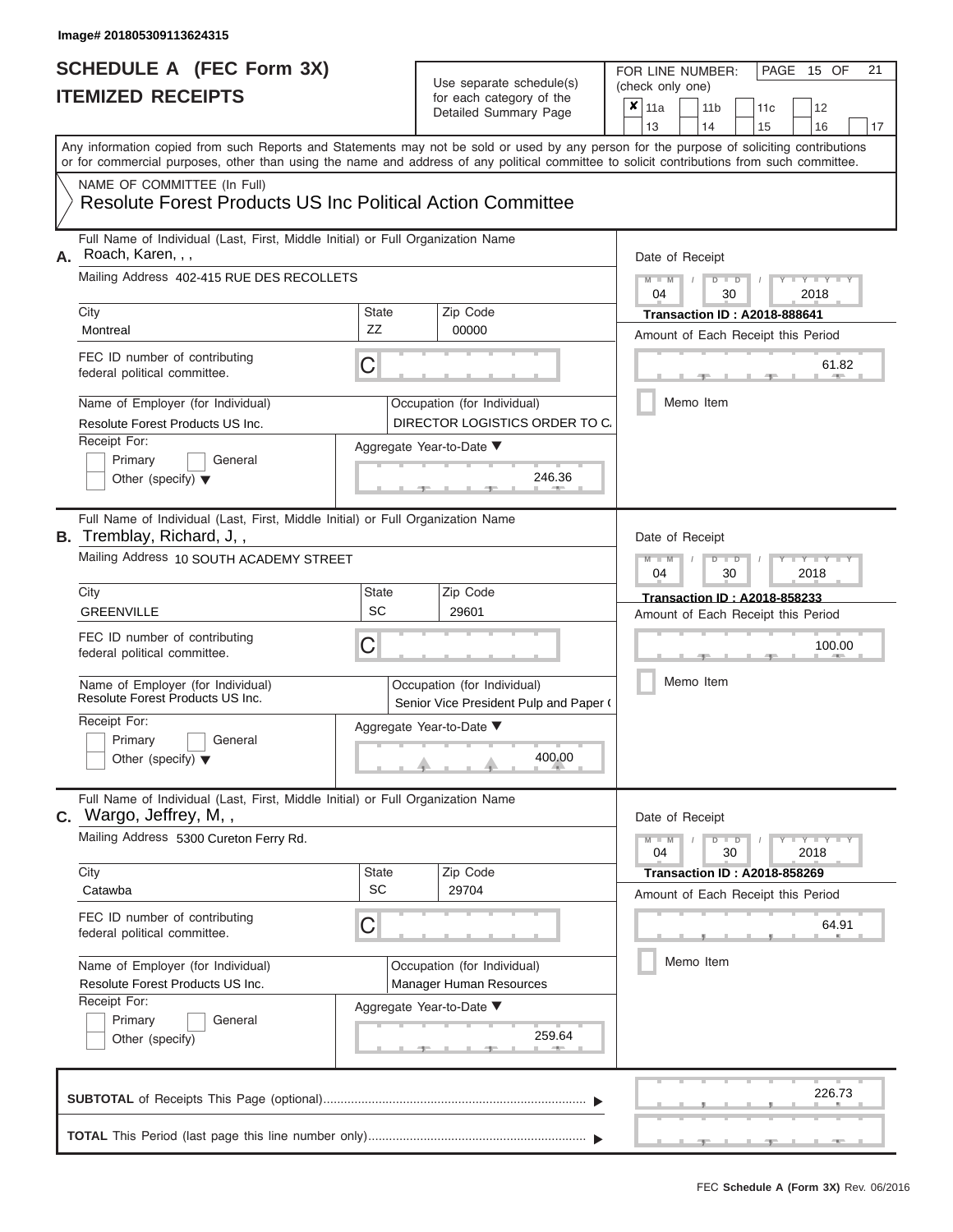### Use separate schedule(s)

| SCHEDULE A (FEC Form 3X)<br><b>ITEMIZED RECEIPTS</b>                                                                                                                                                                                                                                                                                                                                        |                                                                                 | Use separate schedule(s)<br>for each category of the<br>Detailed Summary Page                                     | FOR LINE NUMBER:<br>PAGE 15 OF<br>21<br>(check only one)<br>$\boldsymbol{x}$<br>11a<br>11 <sub>b</sub><br>12<br>11c                                                                                     |  |  |  |
|---------------------------------------------------------------------------------------------------------------------------------------------------------------------------------------------------------------------------------------------------------------------------------------------------------------------------------------------------------------------------------------------|---------------------------------------------------------------------------------|-------------------------------------------------------------------------------------------------------------------|---------------------------------------------------------------------------------------------------------------------------------------------------------------------------------------------------------|--|--|--|
| Any information copied from such Reports and Statements may not be sold or used by any person for the purpose of soliciting contributions<br>or for commercial purposes, other than using the name and address of any political committee to solicit contributions from such committee.<br>NAME OF COMMITTEE (In Full)<br><b>Resolute Forest Products US Inc Political Action Committee</b> |                                                                                 |                                                                                                                   | 13<br>14<br>15<br>16<br>17                                                                                                                                                                              |  |  |  |
| Full Name of Individual (Last, First, Middle Initial) or Full Organization Name<br>Roach, Karen, , ,<br>А.<br>Mailing Address 402-415 RUE DES RECOLLETS<br>City<br>Montreal<br>FEC ID number of contributing<br>federal political committee.                                                                                                                                                | <b>State</b><br>ZZ<br>С                                                         | Zip Code<br>00000                                                                                                 | Date of Receipt<br>$M - M$ /<br>$D$ $D$<br>Y TY T<br>04<br>30<br>2018<br><b>Transaction ID: A2018-888641</b><br>Amount of Each Receipt this Period<br>61.82                                             |  |  |  |
| Name of Employer (for Individual)<br>Resolute Forest Products US Inc.<br>Receipt For:<br>Primary<br>General<br>Other (specify) $\blacktriangledown$                                                                                                                                                                                                                                         |                                                                                 | Occupation (for Individual)<br>DIRECTOR LOGISTICS ORDER TO C.<br>Aggregate Year-to-Date ▼<br>246.36               | Memo Item                                                                                                                                                                                               |  |  |  |
| Full Name of Individual (Last, First, Middle Initial) or Full Organization Name<br><b>B.</b> Tremblay, Richard, J,,<br>Mailing Address 10 SOUTH ACADEMY STREET<br>City<br><b>GREENVILLE</b><br>FEC ID number of contributing<br>federal political committee.                                                                                                                                | <b>State</b><br><b>SC</b><br>С                                                  | Zip Code<br>29601                                                                                                 | Date of Receipt<br>$M - M$<br>$D$ $\Box$ $D$<br>$\mathbf{y}$ $\mathbf{y}$ $\mathbf{y}$ $\mathbf{y}$<br>04<br>2018<br>30<br>Transaction ID: A2018-858233<br>Amount of Each Receipt this Period<br>100.00 |  |  |  |
| Name of Employer (for Individual)<br>Resolute Forest Products US Inc.<br>Receipt For:<br>Primary<br>General<br>Other (specify) $\blacktriangledown$                                                                                                                                                                                                                                         |                                                                                 | Occupation (for Individual)<br>Senior Vice President Pulp and Paper (<br>Aggregate Year-to-Date ▼<br>400.00       | Memo Item                                                                                                                                                                                               |  |  |  |
| C. Wargo, Jeffrey, M,,<br>Mailing Address 5300 Cureton Ferry Rd.                                                                                                                                                                                                                                                                                                                            | Full Name of Individual (Last, First, Middle Initial) or Full Organization Name |                                                                                                                   |                                                                                                                                                                                                         |  |  |  |
| City<br>Catawba<br>FEC ID number of contributing<br>federal political committee.<br>Name of Employer (for Individual)<br>Resolute Forest Products US Inc.<br>Receipt For:<br>Primary<br>General<br>Other (specify)                                                                                                                                                                          | <b>State</b><br>SC<br>С                                                         | Zip Code<br>29704<br>Occupation (for Individual)<br>Manager Human Resources<br>Aggregate Year-to-Date ▼<br>259.64 | <b>Transaction ID: A2018-858269</b><br>Amount of Each Receipt this Period<br>64.91<br>Memo Item                                                                                                         |  |  |  |
|                                                                                                                                                                                                                                                                                                                                                                                             |                                                                                 |                                                                                                                   | 226.73                                                                                                                                                                                                  |  |  |  |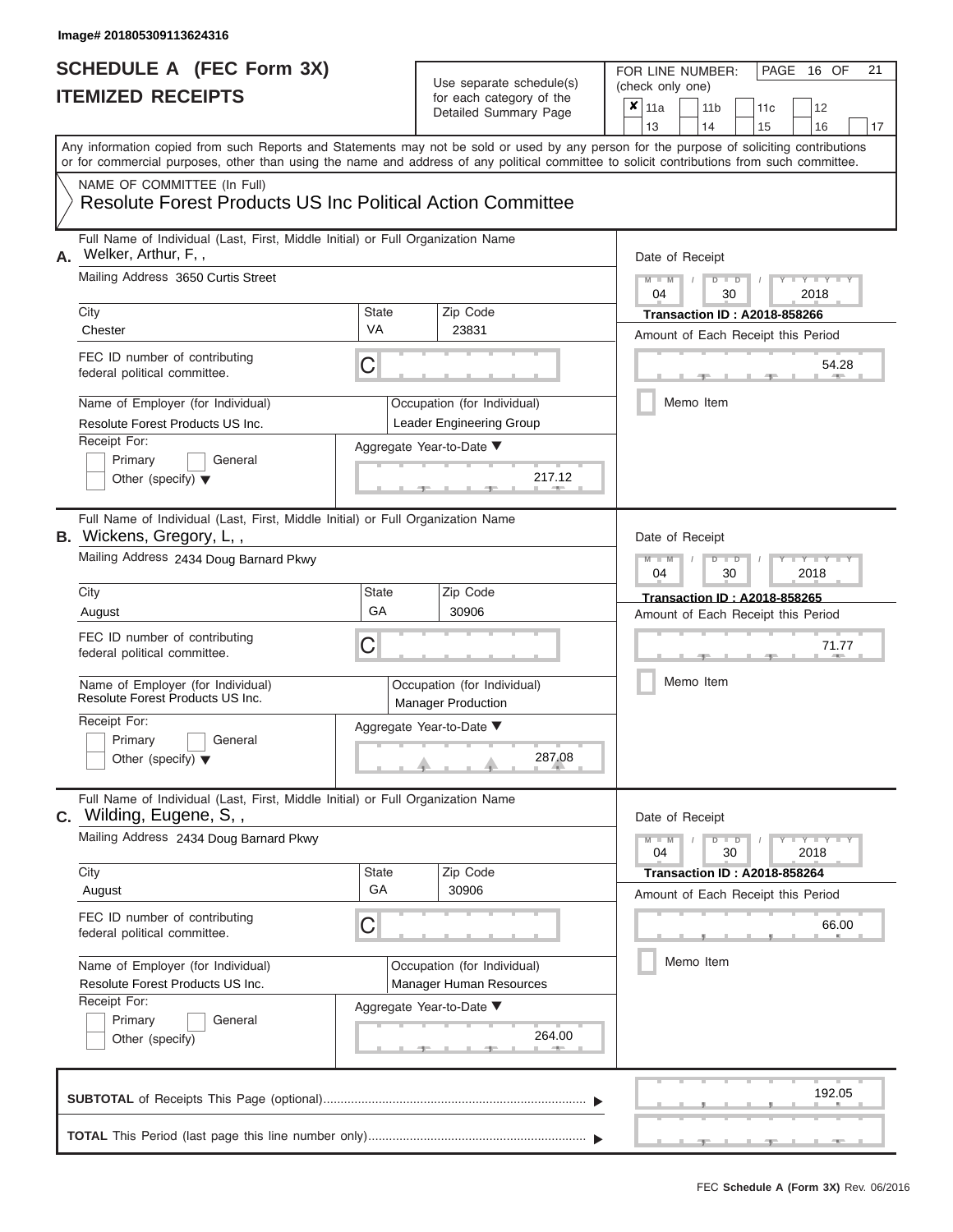## **SCHEDULE A (FEC Form 3X)**

#### Use separate schedule(s)

| SCHEDULE A (FEC Form 3X)<br><b>ITEMIZED RECEIPTS</b>                                                                                       |                                                                                 | Use separate schedule(s)<br>for each category of the<br>Detailed Summary Page | 21<br>FOR LINE NUMBER:<br>PAGE<br>16 OF<br>(check only one)<br>$\boldsymbol{x}$  <br>11a<br>11 <sub>b</sub><br>12<br>11c |  |  |  |  |  |  |
|--------------------------------------------------------------------------------------------------------------------------------------------|---------------------------------------------------------------------------------|-------------------------------------------------------------------------------|--------------------------------------------------------------------------------------------------------------------------|--|--|--|--|--|--|
| Any information copied from such Reports and Statements may not be sold or used by any person for the purpose of soliciting contributions  |                                                                                 |                                                                               | 13<br>14<br>15<br>16<br>17                                                                                               |  |  |  |  |  |  |
| or for commercial purposes, other than using the name and address of any political committee to solicit contributions from such committee. |                                                                                 |                                                                               |                                                                                                                          |  |  |  |  |  |  |
| NAME OF COMMITTEE (In Full)<br><b>Resolute Forest Products US Inc Political Action Committee</b>                                           |                                                                                 |                                                                               |                                                                                                                          |  |  |  |  |  |  |
| Welker, Arthur, F,,<br>А.                                                                                                                  | Full Name of Individual (Last, First, Middle Initial) or Full Organization Name |                                                                               |                                                                                                                          |  |  |  |  |  |  |
| Mailing Address 3650 Curtis Street                                                                                                         |                                                                                 |                                                                               | $M - M$<br>$D$ $D$<br>$Y - Y - I$<br>$\sqrt{ }$<br>04<br>30<br>2018                                                      |  |  |  |  |  |  |
| City<br>Chester                                                                                                                            | State<br><b>VA</b>                                                              | Zip Code<br>23831                                                             | <b>Transaction ID: A2018-858266</b><br>Amount of Each Receipt this Period                                                |  |  |  |  |  |  |
| FEC ID number of contributing<br>federal political committee.                                                                              | С                                                                               |                                                                               | 54.28                                                                                                                    |  |  |  |  |  |  |
| Name of Employer (for Individual)<br>Resolute Forest Products US Inc.                                                                      |                                                                                 | Occupation (for Individual)<br>Leader Engineering Group                       | Memo Item                                                                                                                |  |  |  |  |  |  |
| Receipt For:                                                                                                                               |                                                                                 | Aggregate Year-to-Date ▼                                                      |                                                                                                                          |  |  |  |  |  |  |
| Primary<br>General<br>Other (specify) $\blacktriangledown$                                                                                 |                                                                                 | 217.12                                                                        |                                                                                                                          |  |  |  |  |  |  |
| B. Wickens, Gregory, L,,                                                                                                                   | Full Name of Individual (Last, First, Middle Initial) or Full Organization Name |                                                                               |                                                                                                                          |  |  |  |  |  |  |
| Mailing Address 2434 Doug Barnard Pkwy                                                                                                     |                                                                                 |                                                                               | $M - M$<br>$D$ $\Box$ $D$<br>Y TYT<br>2018<br>04<br>30                                                                   |  |  |  |  |  |  |
| City                                                                                                                                       | State<br>GA                                                                     | Zip Code<br>30906                                                             | Transaction ID: A2018-858265                                                                                             |  |  |  |  |  |  |
| August<br>FEC ID number of contributing<br>federal political committee.                                                                    | С                                                                               |                                                                               | Amount of Each Receipt this Period<br>71.77                                                                              |  |  |  |  |  |  |
| Name of Employer (for Individual)<br>Resolute Forest Products US Inc.                                                                      |                                                                                 | Occupation (for Individual)<br><b>Manager Production</b>                      | Memo Item                                                                                                                |  |  |  |  |  |  |
| Receipt For:                                                                                                                               |                                                                                 | Aggregate Year-to-Date ▼                                                      |                                                                                                                          |  |  |  |  |  |  |
| Primary<br>General<br>Other (specify) $\blacktriangledown$                                                                                 |                                                                                 | 287.08                                                                        |                                                                                                                          |  |  |  |  |  |  |
| Full Name of Individual (Last, First, Middle Initial) or Full Organization Name<br>C. Wilding, Eugene, S,,                                 | Date of Receipt                                                                 |                                                                               |                                                                                                                          |  |  |  |  |  |  |
| Mailing Address 2434 Doug Barnard Pkwy                                                                                                     |                                                                                 |                                                                               | $M - M$<br>$D$ $D$<br>$T - Y = Y$<br>04<br>30<br>2018                                                                    |  |  |  |  |  |  |
| City<br>August                                                                                                                             | State<br>GA                                                                     | Zip Code<br>30906                                                             | <b>Transaction ID: A2018-858264</b><br>Amount of Each Receipt this Period                                                |  |  |  |  |  |  |
| FEC ID number of contributing<br>federal political committee.                                                                              | С                                                                               |                                                                               | 66.00                                                                                                                    |  |  |  |  |  |  |
| Name of Employer (for Individual)<br>Resolute Forest Products US Inc.                                                                      |                                                                                 | Occupation (for Individual)<br>Manager Human Resources                        | Memo Item                                                                                                                |  |  |  |  |  |  |
| Receipt For:<br>Primary<br>General<br>Other (specify)                                                                                      |                                                                                 | Aggregate Year-to-Date ▼<br>264.00                                            |                                                                                                                          |  |  |  |  |  |  |
|                                                                                                                                            |                                                                                 |                                                                               | 192.05                                                                                                                   |  |  |  |  |  |  |
|                                                                                                                                            |                                                                                 |                                                                               |                                                                                                                          |  |  |  |  |  |  |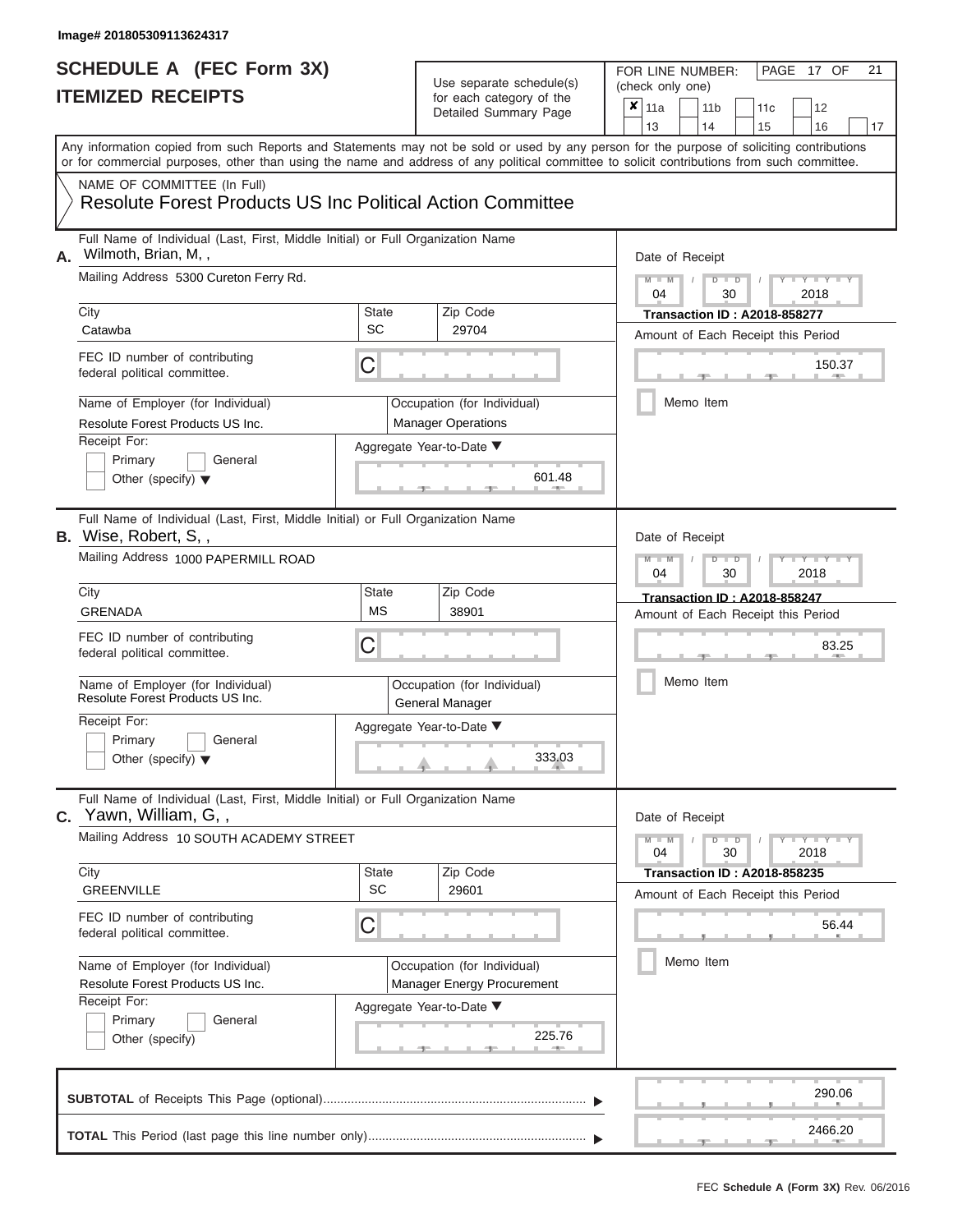## **SCHEDULE A (FEC Form 3X)**

### Use separate schedule(s)

| SCHEDULE A (FEC Form 3X)<br><b>ITEMIZED RECEIPTS</b>                                                                                                                                                                                                                                                                   |                                                                                 | Use separate schedule(s)<br>for each category of the<br>Detailed Summary Page | 21<br>FOR LINE NUMBER:<br>PAGE 17 OF<br>(check only one)<br>×<br>11a<br>11 <sub>b</sub><br>12<br>11 <sub>c</sub><br>13<br>14<br>15<br>16<br>17 |  |  |  |  |  |  |
|------------------------------------------------------------------------------------------------------------------------------------------------------------------------------------------------------------------------------------------------------------------------------------------------------------------------|---------------------------------------------------------------------------------|-------------------------------------------------------------------------------|------------------------------------------------------------------------------------------------------------------------------------------------|--|--|--|--|--|--|
| Any information copied from such Reports and Statements may not be sold or used by any person for the purpose of soliciting contributions<br>or for commercial purposes, other than using the name and address of any political committee to solicit contributions from such committee.<br>NAME OF COMMITTEE (In Full) |                                                                                 |                                                                               |                                                                                                                                                |  |  |  |  |  |  |
| <b>Resolute Forest Products US Inc Political Action Committee</b>                                                                                                                                                                                                                                                      |                                                                                 |                                                                               |                                                                                                                                                |  |  |  |  |  |  |
| Full Name of Individual (Last, First, Middle Initial) or Full Organization Name<br>Wilmoth, Brian, M,,<br>А.<br>Mailing Address 5300 Cureton Ferry Rd.                                                                                                                                                                 |                                                                                 |                                                                               | Date of Receipt<br>$M$ – $M$ /<br>$D$ $D$<br>Y TY T                                                                                            |  |  |  |  |  |  |
| City<br>Catawba                                                                                                                                                                                                                                                                                                        | State<br>SC                                                                     | Zip Code<br>29704                                                             | 04<br>30<br>2018<br><b>Transaction ID: A2018-858277</b>                                                                                        |  |  |  |  |  |  |
| FEC ID number of contributing<br>federal political committee.                                                                                                                                                                                                                                                          | С                                                                               |                                                                               | Amount of Each Receipt this Period<br>150.37<br><b>AND IN</b>                                                                                  |  |  |  |  |  |  |
| Name of Employer (for Individual)<br>Resolute Forest Products US Inc.                                                                                                                                                                                                                                                  |                                                                                 | Occupation (for Individual)<br><b>Manager Operations</b>                      | Memo Item                                                                                                                                      |  |  |  |  |  |  |
| Receipt For:<br>Primary<br>General<br>Other (specify) $\blacktriangledown$                                                                                                                                                                                                                                             |                                                                                 | Aggregate Year-to-Date ▼<br>601.48                                            |                                                                                                                                                |  |  |  |  |  |  |
| <b>B.</b> Wise, Robert, S,,<br>Mailing Address 1000 PAPERMILL ROAD                                                                                                                                                                                                                                                     | Full Name of Individual (Last, First, Middle Initial) or Full Organization Name |                                                                               |                                                                                                                                                |  |  |  |  |  |  |
| City<br><b>GRENADA</b>                                                                                                                                                                                                                                                                                                 | State<br><b>MS</b>                                                              | Zip Code<br>38901                                                             | 04<br>30<br>2018<br><b>Transaction ID: A2018-858247</b><br>Amount of Each Receipt this Period                                                  |  |  |  |  |  |  |
| FEC ID number of contributing<br>federal political committee.                                                                                                                                                                                                                                                          | С                                                                               |                                                                               | 83.25                                                                                                                                          |  |  |  |  |  |  |
| Name of Employer (for Individual)<br>Resolute Forest Products US Inc.                                                                                                                                                                                                                                                  |                                                                                 | Occupation (for Individual)<br>General Manager                                | Memo Item                                                                                                                                      |  |  |  |  |  |  |
| Receipt For:<br>Primary<br>General                                                                                                                                                                                                                                                                                     |                                                                                 | Aggregate Year-to-Date ▼                                                      |                                                                                                                                                |  |  |  |  |  |  |
| Other (specify) $\blacktriangledown$                                                                                                                                                                                                                                                                                   |                                                                                 | 333.03                                                                        |                                                                                                                                                |  |  |  |  |  |  |
| Yawn, William, G,,<br>C.                                                                                                                                                                                                                                                                                               | Full Name of Individual (Last, First, Middle Initial) or Full Organization Name |                                                                               |                                                                                                                                                |  |  |  |  |  |  |
| Mailing Address 10 SOUTH ACADEMY STREET                                                                                                                                                                                                                                                                                |                                                                                 |                                                                               | $M - M$<br>$D$ $D$<br>$T - Y - T - Y - T - Y$<br>04<br>30<br>2018                                                                              |  |  |  |  |  |  |
| City<br><b>GREENVILLE</b>                                                                                                                                                                                                                                                                                              | State<br><b>SC</b>                                                              | Zip Code<br>29601                                                             | <b>Transaction ID: A2018-858235</b><br>Amount of Each Receipt this Period                                                                      |  |  |  |  |  |  |
| FEC ID number of contributing<br>federal political committee.                                                                                                                                                                                                                                                          | С                                                                               |                                                                               | 56.44                                                                                                                                          |  |  |  |  |  |  |
| Name of Employer (for Individual)<br>Resolute Forest Products US Inc.                                                                                                                                                                                                                                                  |                                                                                 | Occupation (for Individual)<br>Manager Energy Procurement                     | Memo Item                                                                                                                                      |  |  |  |  |  |  |
| Receipt For:<br>Primary<br>General<br>Other (specify)                                                                                                                                                                                                                                                                  |                                                                                 | Aggregate Year-to-Date ▼<br>225.76                                            |                                                                                                                                                |  |  |  |  |  |  |
|                                                                                                                                                                                                                                                                                                                        |                                                                                 |                                                                               | 290.06                                                                                                                                         |  |  |  |  |  |  |
|                                                                                                                                                                                                                                                                                                                        |                                                                                 |                                                                               | 2466.20<br>$-1$                                                                                                                                |  |  |  |  |  |  |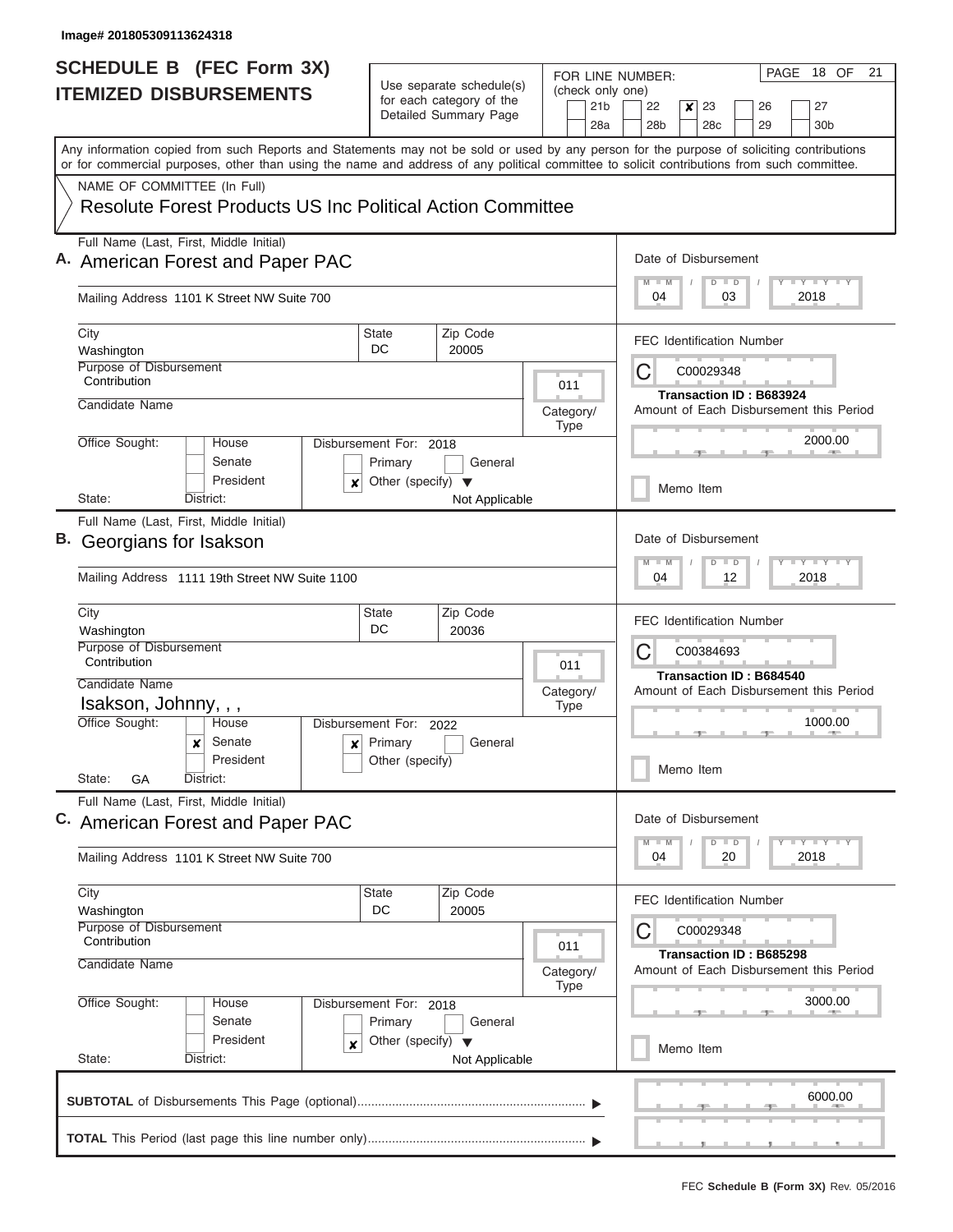| <b>SCHEDULE B (FEC Form 3X)</b>                                                                     |                                                                                                                                                                                                                                                                                         |                                                                                                                                                      |                                                                               |     |                          |                                            | PAGE 18 OF<br>21<br>FOR LINE NUMBER:                                          |                                                                                                                          |  |                                         |  |                       |  |
|-----------------------------------------------------------------------------------------------------|-----------------------------------------------------------------------------------------------------------------------------------------------------------------------------------------------------------------------------------------------------------------------------------------|------------------------------------------------------------------------------------------------------------------------------------------------------|-------------------------------------------------------------------------------|-----|--------------------------|--------------------------------------------|-------------------------------------------------------------------------------|--------------------------------------------------------------------------------------------------------------------------|--|-----------------------------------------|--|-----------------------|--|
|                                                                                                     | <b>ITEMIZED DISBURSEMENTS</b>                                                                                                                                                                                                                                                           |                                                                                                                                                      | Use separate schedule(s)<br>for each category of the<br>Detailed Summary Page |     |                          | (check only one)<br>21 <sub>b</sub><br>28a | 22<br>28 <sub>b</sub>                                                         | 23<br>x<br>28 <sub>c</sub>                                                                                               |  | 26<br>29                                |  | 27<br>30 <sub>b</sub> |  |
|                                                                                                     | Any information copied from such Reports and Statements may not be sold or used by any person for the purpose of soliciting contributions<br>or for commercial purposes, other than using the name and address of any political committee to solicit contributions from such committee. |                                                                                                                                                      |                                                                               |     |                          |                                            |                                                                               |                                                                                                                          |  |                                         |  |                       |  |
|                                                                                                     | NAME OF COMMITTEE (In Full)                                                                                                                                                                                                                                                             |                                                                                                                                                      |                                                                               |     |                          |                                            |                                                                               |                                                                                                                          |  |                                         |  |                       |  |
|                                                                                                     | <b>Resolute Forest Products US Inc Political Action Committee</b>                                                                                                                                                                                                                       |                                                                                                                                                      |                                                                               |     |                          |                                            |                                                                               |                                                                                                                          |  |                                         |  |                       |  |
| Full Name (Last, First, Middle Initial)<br>Date of Disbursement<br>A. American Forest and Paper PAC |                                                                                                                                                                                                                                                                                         |                                                                                                                                                      |                                                                               |     |                          |                                            |                                                                               |                                                                                                                          |  |                                         |  |                       |  |
|                                                                                                     | Mailing Address 1101 K Street NW Suite 700                                                                                                                                                                                                                                              |                                                                                                                                                      |                                                                               |     |                          |                                            | $T - Y = T - Y = T - Y$<br>$D$ $D$<br>2018<br>04<br>03                        |                                                                                                                          |  |                                         |  |                       |  |
|                                                                                                     | City<br>Washington                                                                                                                                                                                                                                                                      | State<br>DC                                                                                                                                          | Zip Code<br>20005                                                             |     |                          |                                            |                                                                               |                                                                                                                          |  | <b>FEC Identification Number</b>        |  |                       |  |
|                                                                                                     | Purpose of Disbursement<br>Contribution                                                                                                                                                                                                                                                 |                                                                                                                                                      |                                                                               |     | 011                      |                                            | С<br>C00029348                                                                |                                                                                                                          |  |                                         |  |                       |  |
|                                                                                                     | Candidate Name                                                                                                                                                                                                                                                                          |                                                                                                                                                      |                                                                               |     | Category/<br><b>Type</b> |                                            | Transaction ID: B683924<br>Amount of Each Disbursement this Period<br>2000.00 |                                                                                                                          |  |                                         |  |                       |  |
|                                                                                                     | Office Sought:<br>House<br>Senate<br>President                                                                                                                                                                                                                                          | Disbursement For: 2018<br>Primary                                                                                                                    | General                                                                       |     |                          |                                            |                                                                               |                                                                                                                          |  |                                         |  |                       |  |
|                                                                                                     | x<br>State:<br>District:                                                                                                                                                                                                                                                                | Other (specify) $\blacktriangledown$                                                                                                                 | Not Applicable                                                                |     |                          |                                            | Memo Item                                                                     |                                                                                                                          |  |                                         |  |                       |  |
|                                                                                                     | Full Name (Last, First, Middle Initial)<br>B. Georgians for Isakson                                                                                                                                                                                                                     |                                                                                                                                                      |                                                                               |     |                          |                                            | Date of Disbursement                                                          |                                                                                                                          |  |                                         |  |                       |  |
|                                                                                                     | Mailing Address 1111 19th Street NW Suite 1100                                                                                                                                                                                                                                          |                                                                                                                                                      |                                                                               |     |                          |                                            |                                                                               | $-Y - Y - I - Y$<br>M<br>$-M$<br>$\overline{D}$<br>$\Box$<br>2018<br>04<br>12                                            |  |                                         |  |                       |  |
|                                                                                                     | City<br>Washington                                                                                                                                                                                                                                                                      | <b>State</b><br>DC                                                                                                                                   | Zip Code<br>20036                                                             |     |                          |                                            | <b>FEC Identification Number</b>                                              |                                                                                                                          |  |                                         |  |                       |  |
|                                                                                                     | Purpose of Disbursement<br>Contribution                                                                                                                                                                                                                                                 | 011                                                                                                                                                  |                                                                               |     |                          |                                            | С<br>C00384693<br>Transaction ID: B684540                                     |                                                                                                                          |  |                                         |  |                       |  |
|                                                                                                     | Candidate Name<br>Isakson, Johnny, , ,                                                                                                                                                                                                                                                  |                                                                                                                                                      |                                                                               |     | Category/<br><b>Type</b> |                                            |                                                                               |                                                                                                                          |  | Amount of Each Disbursement this Period |  |                       |  |
|                                                                                                     | Office Sought:<br>House                                                                                                                                                                                                                                                                 | Disbursement For: 2022                                                                                                                               |                                                                               |     |                          |                                            | 1000.00                                                                       |                                                                                                                          |  |                                         |  |                       |  |
|                                                                                                     | Senate<br>x<br>$\mathbf{x}$                                                                                                                                                                                                                                                             | Primary                                                                                                                                              | General                                                                       |     |                          |                                            |                                                                               |                                                                                                                          |  |                                         |  |                       |  |
|                                                                                                     | President<br>State:<br>GА<br>District:                                                                                                                                                                                                                                                  | Other (specify)                                                                                                                                      |                                                                               |     |                          |                                            | Memo Item                                                                     |                                                                                                                          |  |                                         |  |                       |  |
|                                                                                                     | Full Name (Last, First, Middle Initial)<br>C. American Forest and Paper PAC                                                                                                                                                                                                             |                                                                                                                                                      |                                                                               |     |                          |                                            | Date of Disbursement                                                          |                                                                                                                          |  |                                         |  |                       |  |
|                                                                                                     | Mailing Address 1101 K Street NW Suite 700                                                                                                                                                                                                                                              |                                                                                                                                                      |                                                                               |     |                          |                                            |                                                                               | $\mathbf{I}$ $\mathbf{Y}$ $\mathbf{I}$ $\mathbf{Y}$ $\mathbf{I}$ $\mathbf{Y}$<br>$\Box$<br>$-M$<br>D<br>04<br>20<br>2018 |  |                                         |  |                       |  |
|                                                                                                     | City<br>Washington                                                                                                                                                                                                                                                                      | State<br>DC                                                                                                                                          | Zip Code<br>20005                                                             |     |                          |                                            | <b>FEC Identification Number</b>                                              |                                                                                                                          |  |                                         |  |                       |  |
|                                                                                                     | Purpose of Disbursement<br>Contribution                                                                                                                                                                                                                                                 |                                                                                                                                                      |                                                                               | 011 |                          | С<br>C00029348<br>Transaction ID: B685298  |                                                                               |                                                                                                                          |  |                                         |  |                       |  |
|                                                                                                     | Candidate Name                                                                                                                                                                                                                                                                          | Category/<br><b>Type</b>                                                                                                                             |                                                                               |     |                          |                                            | Amount of Each Disbursement this Period                                       |                                                                                                                          |  |                                         |  |                       |  |
|                                                                                                     | Office Sought:<br>House<br>Senate                                                                                                                                                                                                                                                       | Disbursement For: 2018<br>Primary<br>General<br>President<br>Other (specify) $\blacktriangledown$<br>$\boldsymbol{x}$<br>District:<br>Not Applicable |                                                                               |     |                          |                                            | 3000.00                                                                       |                                                                                                                          |  |                                         |  |                       |  |
|                                                                                                     | State:                                                                                                                                                                                                                                                                                  |                                                                                                                                                      |                                                                               |     |                          |                                            | Memo Item                                                                     |                                                                                                                          |  |                                         |  |                       |  |
|                                                                                                     |                                                                                                                                                                                                                                                                                         |                                                                                                                                                      |                                                                               |     |                          |                                            |                                                                               |                                                                                                                          |  |                                         |  | 6000.00               |  |
|                                                                                                     |                                                                                                                                                                                                                                                                                         |                                                                                                                                                      |                                                                               |     |                          |                                            |                                                                               |                                                                                                                          |  |                                         |  |                       |  |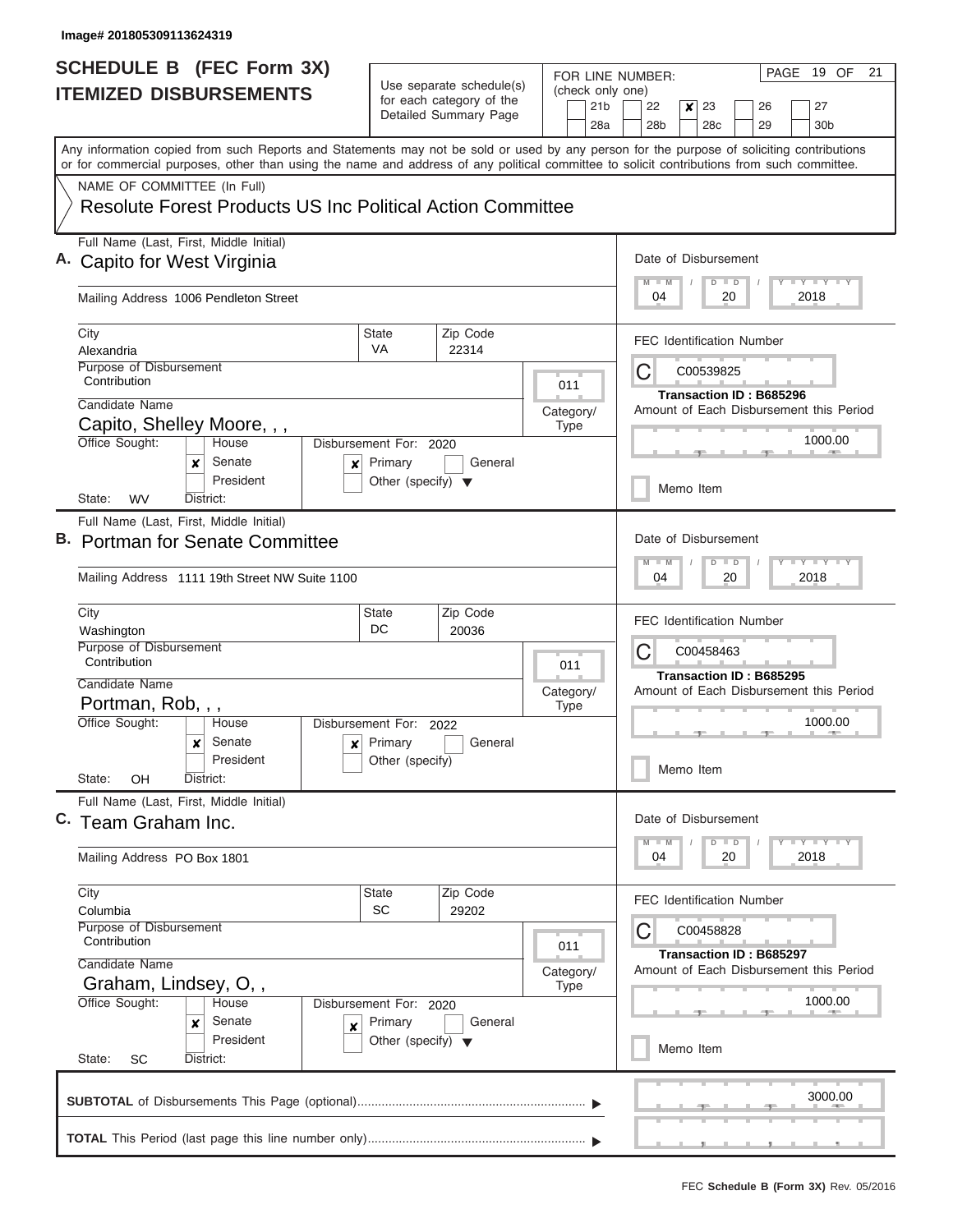| SCHEDULE B (FEC Form 3X)                                                                                                                                                                                                                                                                |                                         |                                                                               |           |                                | PAGE<br>19 OF<br>21<br>FOR LINE NUMBER:                                                                                 |  |  |  |  |  |
|-----------------------------------------------------------------------------------------------------------------------------------------------------------------------------------------------------------------------------------------------------------------------------------------|-----------------------------------------|-------------------------------------------------------------------------------|-----------|--------------------------------|-------------------------------------------------------------------------------------------------------------------------|--|--|--|--|--|
| <b>ITEMIZED DISBURSEMENTS</b>                                                                                                                                                                                                                                                           |                                         | Use separate schedule(s)<br>for each category of the<br>Detailed Summary Page |           | (check only one)<br>21b<br>28a | 22<br>23<br>27<br>x<br>26<br>28b<br>28c<br>29<br>30 <sub>b</sub>                                                        |  |  |  |  |  |
| Any information copied from such Reports and Statements may not be sold or used by any person for the purpose of soliciting contributions<br>or for commercial purposes, other than using the name and address of any political committee to solicit contributions from such committee. |                                         |                                                                               |           |                                |                                                                                                                         |  |  |  |  |  |
| NAME OF COMMITTEE (In Full)<br><b>Resolute Forest Products US Inc Political Action Committee</b>                                                                                                                                                                                        |                                         |                                                                               |           |                                |                                                                                                                         |  |  |  |  |  |
| Full Name (Last, First, Middle Initial)<br>A. Capito for West Virginia                                                                                                                                                                                                                  |                                         |                                                                               |           |                                |                                                                                                                         |  |  |  |  |  |
| Mailing Address 1006 Pendleton Street                                                                                                                                                                                                                                                   |                                         |                                                                               |           |                                | 2018<br>04<br>20                                                                                                        |  |  |  |  |  |
| City<br>Alexandria                                                                                                                                                                                                                                                                      | <b>State</b><br><b>VA</b>               | Zip Code<br>22314                                                             |           |                                | <b>FEC Identification Number</b>                                                                                        |  |  |  |  |  |
| Purpose of Disbursement<br>Contribution                                                                                                                                                                                                                                                 |                                         |                                                                               | 011       |                                | С<br>C00539825<br>Transaction ID: B685296                                                                               |  |  |  |  |  |
| Candidate Name                                                                                                                                                                                                                                                                          |                                         |                                                                               | Category/ |                                | Amount of Each Disbursement this Period                                                                                 |  |  |  |  |  |
| Capito, Shelley Moore, , ,<br>Office Sought:<br>House<br>Senate<br>x<br>×                                                                                                                                                                                                               | Disbursement For: 2020<br>Primary       | General                                                                       | Type      |                                | 1000.00                                                                                                                 |  |  |  |  |  |
| President<br>State:<br><b>WV</b><br>District:                                                                                                                                                                                                                                           | Other (specify) $\blacktriangledown$    |                                                                               |           |                                | Memo Item                                                                                                               |  |  |  |  |  |
| Full Name (Last, First, Middle Initial)<br>B. Portman for Senate Committee<br>Mailing Address 1111 19th Street NW Suite 1100                                                                                                                                                            |                                         |                                                                               |           |                                | Date of Disbursement<br>$-1$ $-1$ $-1$ $-1$ $-1$<br>$M - M$<br>$D$ $D$<br>2018<br>04<br>20                              |  |  |  |  |  |
| City                                                                                                                                                                                                                                                                                    | Zip Code<br><b>State</b>                |                                                                               |           |                                |                                                                                                                         |  |  |  |  |  |
| Washington<br>Purpose of Disbursement<br>Contribution                                                                                                                                                                                                                                   | DC<br>20036                             |                                                                               |           |                                |                                                                                                                         |  |  |  |  |  |
| Candidate Name<br>Portman, Rob, , ,                                                                                                                                                                                                                                                     |                                         | 011<br>Category/<br><b>Type</b><br>Disbursement For: 2022<br>General          |           |                                | Transaction ID: B685295<br>Amount of Each Disbursement this Period                                                      |  |  |  |  |  |
| Office Sought:<br>House<br>Senate<br>$\boldsymbol{x}$                                                                                                                                                                                                                                   | $x$ Primary                             |                                                                               |           |                                | 1000.00                                                                                                                 |  |  |  |  |  |
| President<br>State:<br>OH<br>District:                                                                                                                                                                                                                                                  | Other (specify)                         |                                                                               |           |                                | Memo Item                                                                                                               |  |  |  |  |  |
| Full Name (Last, First, Middle Initial)<br>C. Team Graham Inc.                                                                                                                                                                                                                          |                                         |                                                                               |           |                                | Date of Disbursement                                                                                                    |  |  |  |  |  |
| Mailing Address PO Box 1801                                                                                                                                                                                                                                                             |                                         |                                                                               |           |                                | $\mathbf{I}$ $\mathbf{Y}$ $\mathbf{I}$ $\mathbf{Y}$ $\mathbf{I}$ $\mathbf{Y}$<br>$M - M$<br>$D$ $D$<br>04<br>20<br>2018 |  |  |  |  |  |
| City<br>Columbia<br>Purpose of Disbursement                                                                                                                                                                                                                                             | Zip Code<br><b>State</b><br>SC<br>29202 |                                                                               |           |                                |                                                                                                                         |  |  |  |  |  |
| Contribution<br>Candidate Name                                                                                                                                                                                                                                                          | 011<br>Category/                        |                                                                               |           |                                |                                                                                                                         |  |  |  |  |  |
| Graham, Lindsey, O,,<br><b>Type</b><br>Office Sought:<br>House<br>Disbursement For: 2020<br>Senate<br>Primary<br>General<br>×<br>x<br>President<br>Other (specify) $\blacktriangledown$                                                                                                 |                                         |                                                                               |           |                                | 1000.00                                                                                                                 |  |  |  |  |  |
| State:<br>SC<br>District:                                                                                                                                                                                                                                                               |                                         |                                                                               |           |                                | Memo Item                                                                                                               |  |  |  |  |  |
|                                                                                                                                                                                                                                                                                         |                                         |                                                                               |           |                                | 3000.00                                                                                                                 |  |  |  |  |  |
|                                                                                                                                                                                                                                                                                         |                                         |                                                                               |           |                                |                                                                                                                         |  |  |  |  |  |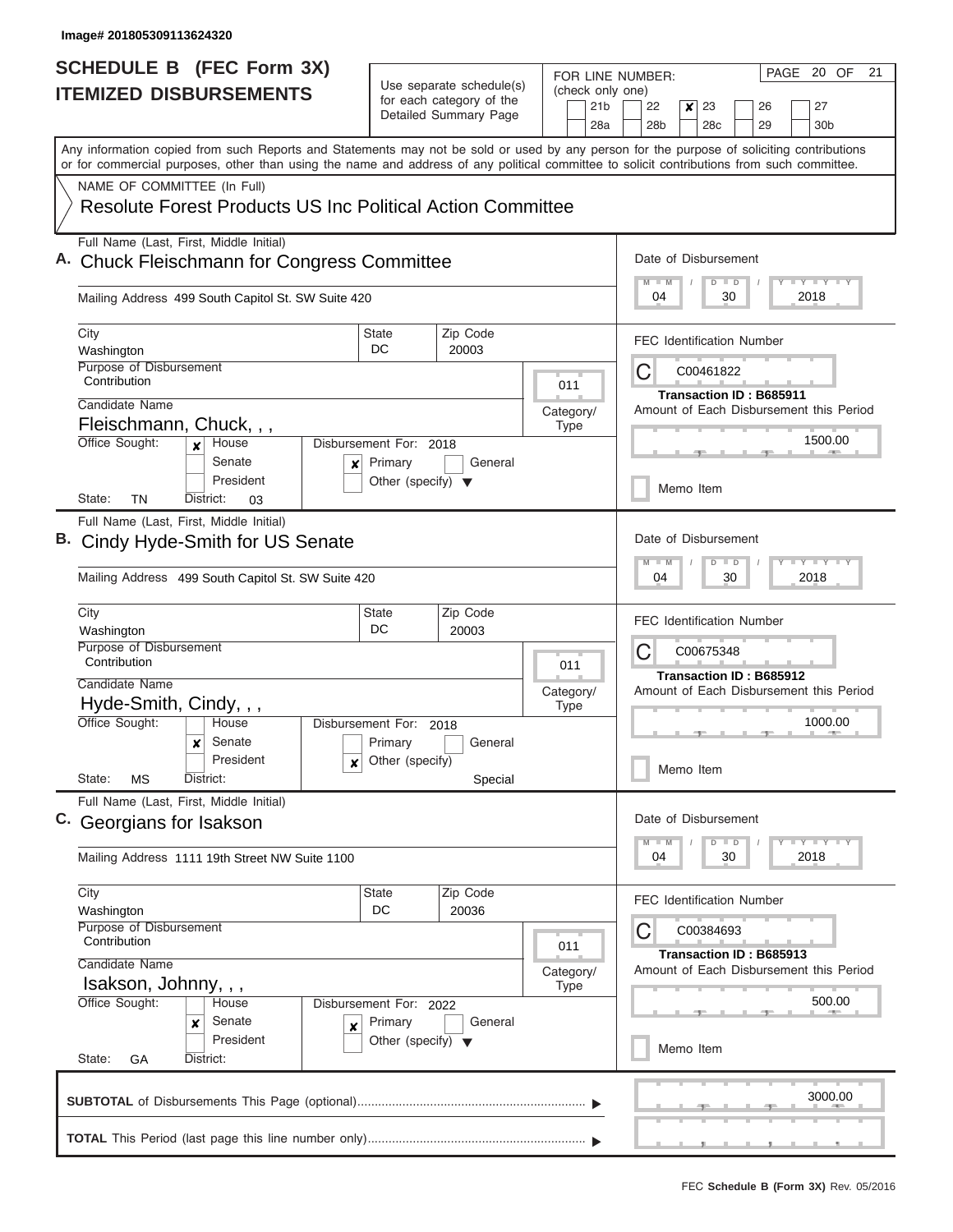|                               | <b>SCHEDULE B (FEC Form 3X)</b>                                                                                                                                                                                                                                                         |                                                       |                       |                      |                                  |                        | PAGE 20 OF<br>21<br>FOR LINE NUMBER:                                  |  |  |  |  |  |  |
|-------------------------------|-----------------------------------------------------------------------------------------------------------------------------------------------------------------------------------------------------------------------------------------------------------------------------------------|-------------------------------------------------------|-----------------------|----------------------|----------------------------------|------------------------|-----------------------------------------------------------------------|--|--|--|--|--|--|
| <b>ITEMIZED DISBURSEMENTS</b> |                                                                                                                                                                                                                                                                                         | Use separate schedule(s)<br>for each category of the  |                       |                      |                                  | (check only one)       |                                                                       |  |  |  |  |  |  |
|                               |                                                                                                                                                                                                                                                                                         |                                                       | Detailed Summary Page |                      |                                  | 21 <sub>b</sub><br>28a | 22<br>23<br>27<br>$\boldsymbol{x}$<br>26<br>28b<br>28c<br>29<br>30b   |  |  |  |  |  |  |
|                               | Any information copied from such Reports and Statements may not be sold or used by any person for the purpose of soliciting contributions<br>or for commercial purposes, other than using the name and address of any political committee to solicit contributions from such committee. |                                                       |                       |                      |                                  |                        |                                                                       |  |  |  |  |  |  |
|                               | NAME OF COMMITTEE (In Full)                                                                                                                                                                                                                                                             |                                                       |                       |                      |                                  |                        |                                                                       |  |  |  |  |  |  |
|                               | Resolute Forest Products US Inc Political Action Committee                                                                                                                                                                                                                              |                                                       |                       |                      |                                  |                        |                                                                       |  |  |  |  |  |  |
|                               | Full Name (Last, First, Middle Initial)<br>A. Chuck Fleischmann for Congress Committee                                                                                                                                                                                                  |                                                       |                       | Date of Disbursement |                                  |                        |                                                                       |  |  |  |  |  |  |
|                               | Mailing Address 499 South Capitol St. SW Suite 420                                                                                                                                                                                                                                      |                                                       |                       |                      |                                  |                        | <b>LY LY LY</b><br>$D$ $D$<br>2018<br>04<br>30                        |  |  |  |  |  |  |
|                               | City                                                                                                                                                                                                                                                                                    | <b>State</b>                                          | Zip Code              |                      |                                  |                        | <b>FEC Identification Number</b>                                      |  |  |  |  |  |  |
|                               | Washington<br>Purpose of Disbursement                                                                                                                                                                                                                                                   | DC                                                    | 20003                 |                      |                                  |                        |                                                                       |  |  |  |  |  |  |
|                               | Contribution                                                                                                                                                                                                                                                                            |                                                       |                       |                      | 011                              |                        | С<br>C00461822                                                        |  |  |  |  |  |  |
|                               | Candidate Name                                                                                                                                                                                                                                                                          |                                                       |                       | Category/            |                                  |                        | Transaction ID: B685911<br>Amount of Each Disbursement this Period    |  |  |  |  |  |  |
|                               | Fleischmann, Chuck, , ,                                                                                                                                                                                                                                                                 |                                                       |                       |                      | <b>Type</b>                      |                        |                                                                       |  |  |  |  |  |  |
|                               | Office Sought:<br>House                                                                                                                                                                                                                                                                 | Disbursement For: 2018                                |                       |                      |                                  |                        | 1500.00                                                               |  |  |  |  |  |  |
|                               | Senate<br>×<br>President<br>TN<br>State:<br>District:<br>03                                                                                                                                                                                                                             | Primary<br>Other (specify) $\blacktriangledown$       | General               |                      |                                  |                        | Memo Item                                                             |  |  |  |  |  |  |
|                               | Full Name (Last, First, Middle Initial)                                                                                                                                                                                                                                                 |                                                       |                       |                      |                                  |                        |                                                                       |  |  |  |  |  |  |
|                               | B. Cindy Hyde-Smith for US Senate                                                                                                                                                                                                                                                       |                                                       |                       |                      |                                  |                        | Date of Disbursement<br>$T - Y$ $T - Y$ $T - Y$<br>$M - M$<br>$D$ $D$ |  |  |  |  |  |  |
|                               | Mailing Address 499 South Capitol St. SW Suite 420                                                                                                                                                                                                                                      |                                                       |                       |                      |                                  |                        | 04<br>30<br>2018                                                      |  |  |  |  |  |  |
|                               | City<br>Washington                                                                                                                                                                                                                                                                      | <b>State</b><br>DC                                    | Zip Code<br>20003     |                      |                                  |                        | <b>FEC Identification Number</b>                                      |  |  |  |  |  |  |
|                               | Purpose of Disbursement<br>Contribution                                                                                                                                                                                                                                                 |                                                       |                       |                      | 011                              |                        | С<br>C00675348<br>Transaction ID: B685912                             |  |  |  |  |  |  |
|                               | Candidate Name                                                                                                                                                                                                                                                                          |                                                       |                       | Category/            |                                  |                        | Amount of Each Disbursement this Period                               |  |  |  |  |  |  |
|                               | Hyde-Smith, Cindy, , ,                                                                                                                                                                                                                                                                  |                                                       |                       |                      | <b>Type</b>                      |                        |                                                                       |  |  |  |  |  |  |
|                               | Office Sought:<br>House<br>Senate                                                                                                                                                                                                                                                       | Disbursement For: 2018                                |                       |                      |                                  |                        | 1000.00                                                               |  |  |  |  |  |  |
|                               | x<br>President<br>×<br>State:<br>МS<br>District:                                                                                                                                                                                                                                        | Primary<br>Other (specify)                            | General               |                      |                                  |                        | Memo Item                                                             |  |  |  |  |  |  |
|                               | Full Name (Last, First, Middle Initial)                                                                                                                                                                                                                                                 |                                                       | Special               |                      |                                  |                        |                                                                       |  |  |  |  |  |  |
|                               | C. Georgians for Isakson                                                                                                                                                                                                                                                                |                                                       |                       |                      |                                  |                        | Date of Disbursement<br>$T - Y$ $T - Y$ $T - Y$<br>$D$ $D$<br>$-M$    |  |  |  |  |  |  |
|                               | Mailing Address 1111 19th Street NW Suite 1100                                                                                                                                                                                                                                          |                                                       |                       |                      |                                  |                        | 30<br>2018<br>04                                                      |  |  |  |  |  |  |
|                               | City<br>Washington                                                                                                                                                                                                                                                                      | State<br>DC                                           | Zip Code<br>20036     |                      | <b>FEC Identification Number</b> |                        |                                                                       |  |  |  |  |  |  |
|                               | Purpose of Disbursement<br>Contribution                                                                                                                                                                                                                                                 |                                                       |                       |                      | 011                              |                        | С<br>C00384693                                                        |  |  |  |  |  |  |
|                               | Candidate Name                                                                                                                                                                                                                                                                          | Category/                                             |                       |                      |                                  |                        | Transaction ID: B685913<br>Amount of Each Disbursement this Period    |  |  |  |  |  |  |
|                               | Isakson, Johnny, , ,                                                                                                                                                                                                                                                                    |                                                       |                       |                      | <b>Type</b>                      |                        |                                                                       |  |  |  |  |  |  |
|                               | Office Sought:<br>Senate<br>×<br>×                                                                                                                                                                                                                                                      | Disbursement For: 2022<br>House<br>Primary<br>General |                       |                      |                                  |                        | 500.00                                                                |  |  |  |  |  |  |
|                               | President<br>State:<br>District:<br>GA                                                                                                                                                                                                                                                  | Other (specify) $\blacktriangledown$                  |                       |                      |                                  |                        | Memo Item                                                             |  |  |  |  |  |  |
|                               |                                                                                                                                                                                                                                                                                         |                                                       |                       |                      |                                  |                        | 3000.00                                                               |  |  |  |  |  |  |